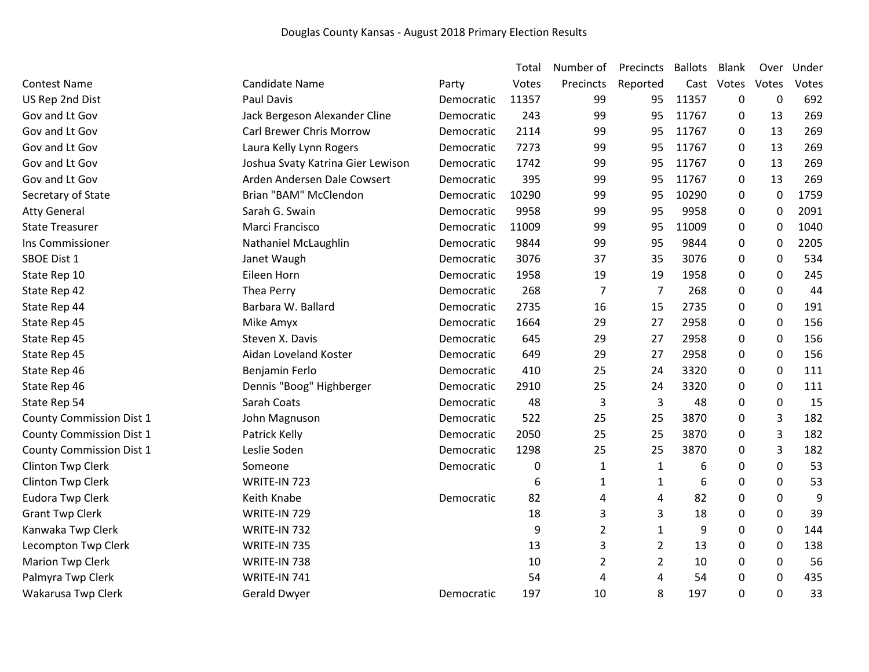| Votes<br>$\boldsymbol{0}$<br>13<br>13<br>13 | Votes<br>692     |
|---------------------------------------------|------------------|
|                                             |                  |
|                                             |                  |
|                                             | 269              |
|                                             | 269              |
|                                             | 269              |
| 13                                          | 269              |
| 13                                          | 269              |
| $\mathbf 0$                                 | 1759             |
| $\mathbf 0$                                 | 2091             |
| 0                                           | 1040             |
| $\mathbf 0$                                 | 2205             |
| 0                                           | 534              |
| $\pmb{0}$                                   | 245              |
| $\boldsymbol{0}$                            | 44               |
| 0                                           | 191              |
| 0                                           | 156              |
| 0                                           | 156              |
| $\pmb{0}$                                   | 156              |
| $\mathbf 0$                                 | 111              |
| 0                                           | 111              |
| 0                                           | 15               |
| 3                                           | 182              |
| 3                                           | 182              |
| 3                                           | 182              |
| 0                                           | 53               |
| 0                                           | 53               |
| 0                                           | 9                |
| 0                                           | 39               |
| $\mathbf 0$                                 | 144              |
| 0                                           | 138              |
| 0                                           | 56               |
|                                             | 435              |
|                                             | 33               |
|                                             | $\mathbf 0$<br>0 |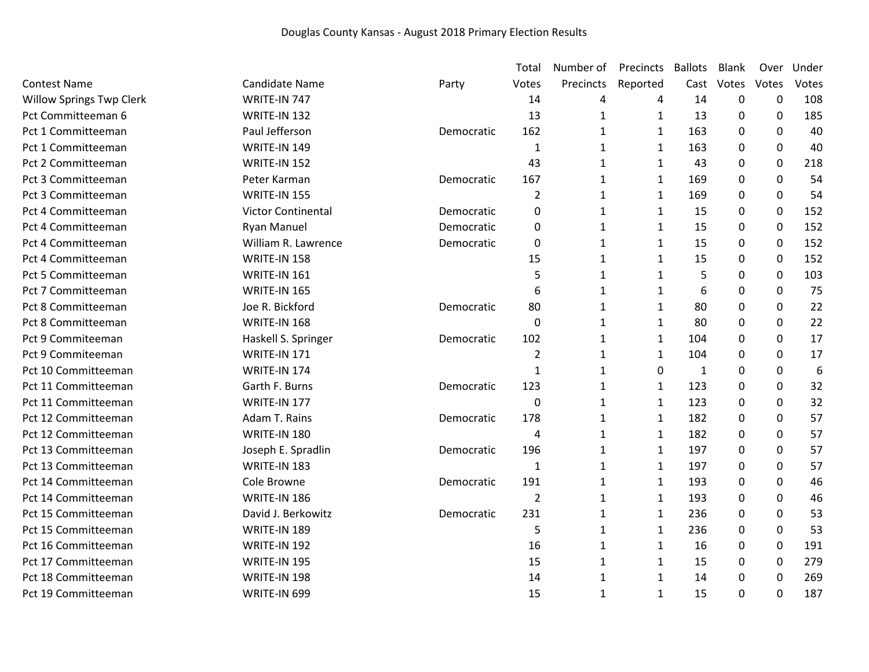|                                 |                       |            | Total          | Number of    | Precincts    | <b>Ballots</b> | <b>Blank</b> | Over             | Under |
|---------------------------------|-----------------------|------------|----------------|--------------|--------------|----------------|--------------|------------------|-------|
| <b>Contest Name</b>             | <b>Candidate Name</b> | Party      | Votes          | Precincts    | Reported     | Cast           | Votes        | Votes            | Votes |
| <b>Willow Springs Twp Clerk</b> | WRITE-IN 747          |            | 14             | 4            | 4            | 14             | $\mathbf 0$  | 0                | 108   |
| Pct Committeeman 6              | WRITE-IN 132          |            | 13             | $\mathbf{1}$ | $\mathbf{1}$ | 13             | 0            | 0                | 185   |
| Pct 1 Committeeman              | Paul Jefferson        | Democratic | 162            | $\mathbf{1}$ | $\mathbf{1}$ | 163            | 0            | 0                | 40    |
| Pct 1 Committeeman              | <b>WRITE-IN 149</b>   |            | 1              | 1            | $\mathbf{1}$ | 163            | 0            | $\mathbf 0$      | 40    |
| Pct 2 Committeeman              | WRITE-IN 152          |            | 43             | $\mathbf{1}$ | $\mathbf{1}$ | 43             | 0            | $\boldsymbol{0}$ | 218   |
| Pct 3 Committeeman              | Peter Karman          | Democratic | 167            | 1            | $\mathbf{1}$ | 169            | 0            | $\boldsymbol{0}$ | 54    |
| Pct 3 Committeeman              | WRITE-IN 155          |            | $\overline{2}$ | $\mathbf{1}$ | $\mathbf{1}$ | 169            | 0            | 0                | 54    |
| Pct 4 Committeeman              | Victor Continental    | Democratic | 0              | 1            | $\mathbf{1}$ | 15             | $\Omega$     | $\boldsymbol{0}$ | 152   |
| Pct 4 Committeeman              | <b>Ryan Manuel</b>    | Democratic | 0              | $\mathbf{1}$ | $\mathbf{1}$ | 15             | 0            | $\boldsymbol{0}$ | 152   |
| Pct 4 Committeeman              | William R. Lawrence   | Democratic | $\mathbf 0$    | $\mathbf{1}$ | $\mathbf{1}$ | 15             | 0            | $\mathbf 0$      | 152   |
| Pct 4 Committeeman              | WRITE-IN 158          |            | 15             | 1            | $\mathbf{1}$ | 15             | $\Omega$     | 0                | 152   |
| Pct 5 Committeeman              | <b>WRITE-IN 161</b>   |            | 5              | $\mathbf{1}$ | $\mathbf{1}$ | 5              | 0            | 0                | 103   |
| Pct 7 Committeeman              | <b>WRITE-IN 165</b>   |            | 6              | 1            | $\mathbf{1}$ | 6              | $\Omega$     | $\mathbf 0$      | 75    |
| Pct 8 Committeeman              | Joe R. Bickford       | Democratic | 80             | 1            | $\mathbf{1}$ | 80             | 0            | 0                | 22    |
| Pct 8 Committeeman              | WRITE-IN 168          |            | $\mathbf 0$    | 1            | $\mathbf{1}$ | 80             | 0            | $\boldsymbol{0}$ | 22    |
| Pct 9 Commiteeman               | Haskell S. Springer   | Democratic | 102            | $\mathbf{1}$ | $\mathbf{1}$ | 104            | $\Omega$     | 0                | 17    |
| Pct 9 Commiteeman               | WRITE-IN 171          |            | 2              | 1            | $\mathbf{1}$ | 104            | 0            | $\mathbf{0}$     | 17    |
| Pct 10 Committeeman             | WRITE-IN 174          |            | 1              | 1            | 0            | 1              | 0            | 0                | 6     |
| Pct 11 Committeeman             | Garth F. Burns        | Democratic | 123            | 1            | $\mathbf{1}$ | 123            | 0            | $\mathbf 0$      | 32    |
| Pct 11 Committeeman             | WRITE-IN 177          |            | 0              | 1            | $\mathbf{1}$ | 123            | 0            | 0                | 32    |
| Pct 12 Committeeman             | Adam T. Rains         | Democratic | 178            | 1            | $\mathbf{1}$ | 182            | 0            | 0                | 57    |
| Pct 12 Committeeman             | WRITE-IN 180          |            | 4              | 1            | $\mathbf{1}$ | 182            | 0            | $\mathbf 0$      | 57    |
| Pct 13 Committeeman             | Joseph E. Spradlin    | Democratic | 196            | $\mathbf{1}$ | $\mathbf{1}$ | 197            | 0            | 0                | 57    |
| Pct 13 Committeeman             | WRITE-IN 183          |            | 1              | $\mathbf{1}$ | $\mathbf{1}$ | 197            | 0            | $\mathbf 0$      | 57    |
| Pct 14 Committeeman             | Cole Browne           | Democratic | 191            | $\mathbf{1}$ | 1            | 193            | 0            | 0                | 46    |
| Pct 14 Committeeman             | WRITE-IN 186          |            | $\overline{2}$ | 1            | $\mathbf{1}$ | 193            | $\Omega$     | $\boldsymbol{0}$ | 46    |
| Pct 15 Committeeman             | David J. Berkowitz    | Democratic | 231            | $\mathbf{1}$ | $\mathbf{1}$ | 236            | $\Omega$     | $\boldsymbol{0}$ | 53    |
| Pct 15 Committeeman             | WRITE-IN 189          |            | 5              | $\mathbf{1}$ | $\mathbf{1}$ | 236            | 0            | $\mathbf 0$      | 53    |
| Pct 16 Committeeman             | WRITE-IN 192          |            | 16             | 1            | $\mathbf{1}$ | 16             | 0            | 0                | 191   |
| Pct 17 Committeeman             | WRITE-IN 195          |            | 15             | 1            | $\mathbf{1}$ | 15             | 0            | $\boldsymbol{0}$ | 279   |
| Pct 18 Committeeman             | WRITE-IN 198          |            | 14             | 1            | $\mathbf{1}$ | 14             | 0            | 0                | 269   |
| Pct 19 Committeeman             | WRITE-IN 699          |            | 15             | 1            | $\mathbf{1}$ | 15             | $\Omega$     | $\Omega$         | 187   |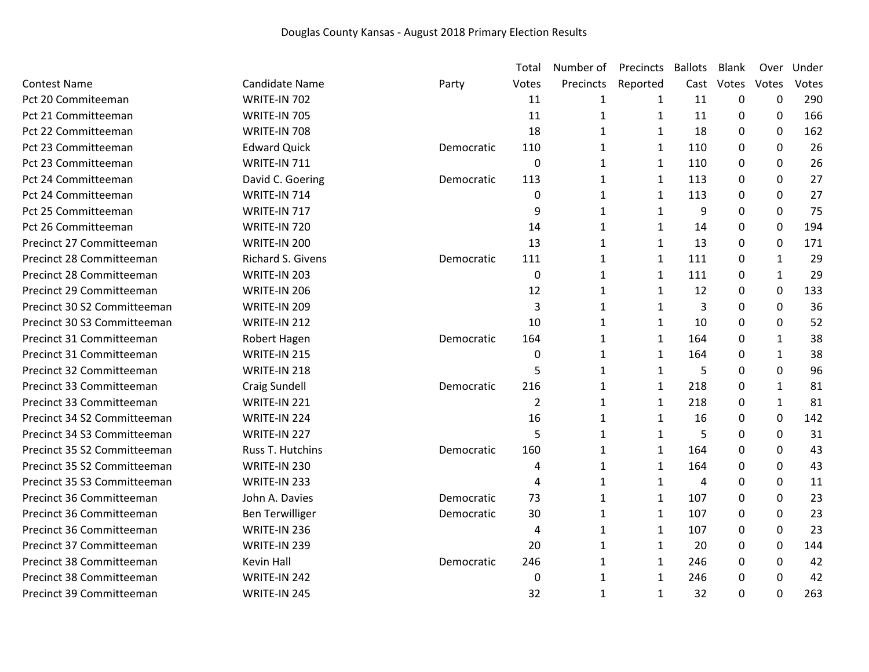|                             |                        |            | Total          | Number of    | Precincts    | <b>Ballots</b> | <b>Blank</b> | Over         | Under |
|-----------------------------|------------------------|------------|----------------|--------------|--------------|----------------|--------------|--------------|-------|
| <b>Contest Name</b>         | <b>Candidate Name</b>  | Party      | Votes          | Precincts    | Reported     | Cast           | Votes        | Votes        | Votes |
| Pct 20 Commiteeman          | WRITE-IN 702           |            | 11             | 1            | 1            | 11             | 0            | 0            | 290   |
| Pct 21 Committeeman         | WRITE-IN 705           |            | 11             | $\mathbf{1}$ | 1            | 11             | 0            | 0            | 166   |
| Pct 22 Committeeman         | WRITE-IN 708           |            | 18             | $\mathbf{1}$ | 1            | 18             | 0            | $\mathbf{0}$ | 162   |
| Pct 23 Committeeman         | <b>Edward Quick</b>    | Democratic | 110            | 1            | $\mathbf{1}$ | 110            | 0            | $\Omega$     | 26    |
| Pct 23 Committeeman         | WRITE-IN 711           |            | $\mathbf 0$    | $\mathbf{1}$ | 1            | 110            | 0            | $\mathbf 0$  | 26    |
| Pct 24 Committeeman         | David C. Goering       | Democratic | 113            | 1            | 1            | 113            | 0            | 0            | 27    |
| Pct 24 Committeeman         | WRITE-IN 714           |            | $\pmb{0}$      | 1            | 1            | 113            | 0            | 0            | 27    |
| Pct 25 Committeeman         | WRITE-IN 717           |            | 9              | 1            | 1            | 9              | 0            | 0            | 75    |
| Pct 26 Committeeman         | WRITE-IN 720           |            | 14             | 1            | 1            | 14             | 0            | 0            | 194   |
| Precinct 27 Committeeman    | WRITE-IN 200           |            | 13             | 1            | 1            | 13             | 0            | 0            | 171   |
| Precinct 28 Committeeman    | Richard S. Givens      | Democratic | 111            | 1            | 1            | 111            | 0            | 1            | 29    |
| Precinct 28 Committeeman    | WRITE-IN 203           |            | 0              | 1            | 1            | 111            | 0            | $\mathbf{1}$ | 29    |
| Precinct 29 Committeeman    | WRITE-IN 206           |            | 12             | 1            | 1            | 12             | 0            | 0            | 133   |
| Precinct 30 S2 Committeeman | WRITE-IN 209           |            | 3              | 1            | 1            | 3              | 0            | 0            | 36    |
| Precinct 30 S3 Committeeman | WRITE-IN 212           |            | 10             | 1            | 1            | 10             | 0            | 0            | 52    |
| Precinct 31 Committeeman    | Robert Hagen           | Democratic | 164            | $\mathbf{1}$ | $\mathbf{1}$ | 164            | 0            | 1            | 38    |
| Precinct 31 Committeeman    | WRITE-IN 215           |            | 0              | $\mathbf{1}$ | 1            | 164            | 0            | 1            | 38    |
| Precinct 32 Committeeman    | WRITE-IN 218           |            | 5              | $\mathbf{1}$ | $\mathbf{1}$ | 5              | 0            | 0            | 96    |
| Precinct 33 Committeeman    | <b>Craig Sundell</b>   | Democratic | 216            | $\mathbf{1}$ | 1            | 218            | 0            | 1            | 81    |
| Precinct 33 Committeeman    | WRITE-IN 221           |            | $\overline{2}$ | 1            | 1            | 218            | 0            | 1            | 81    |
| Precinct 34 S2 Committeeman | WRITE-IN 224           |            | 16             | 1            | $\mathbf{1}$ | 16             | $\Omega$     | $\mathbf 0$  | 142   |
| Precinct 34 S3 Committeeman | WRITE-IN 227           |            | 5              | 1            | 1            | 5              | 0            | $\Omega$     | 31    |
| Precinct 35 S2 Committeeman | Russ T. Hutchins       | Democratic | 160            | $\mathbf{1}$ | $\mathbf{1}$ | 164            | 0            | 0            | 43    |
| Precinct 35 S2 Committeeman | WRITE-IN 230           |            | 4              | 1            | 1            | 164            | $\mathbf 0$  | 0            | 43    |
| Precinct 35 S3 Committeeman | WRITE-IN 233           |            | 4              | 1            | $\mathbf{1}$ | 4              | 0            | 0            | 11    |
| Precinct 36 Committeeman    | John A. Davies         | Democratic | 73             | $\mathbf{1}$ | $\mathbf{1}$ | 107            | $\Omega$     | 0            | 23    |
| Precinct 36 Committeeman    | <b>Ben Terwilliger</b> | Democratic | 30             | 1            | 1            | 107            | 0            | $\Omega$     | 23    |
| Precinct 36 Committeeman    | WRITE-IN 236           |            | 4              | $\mathbf{1}$ | $\mathbf{1}$ | 107            | $\Omega$     | 0            | 23    |
| Precinct 37 Committeeman    | WRITE-IN 239           |            | 20             | $\mathbf{1}$ | $\mathbf{1}$ | 20             | 0            | 0            | 144   |
| Precinct 38 Committeeman    | <b>Kevin Hall</b>      | Democratic | 246            | 1            | 1            | 246            | 0            | 0            | 42    |
| Precinct 38 Committeeman    | WRITE-IN 242           |            | 0              | 1            | 1            | 246            | $\Omega$     | 0            | 42    |
| Precinct 39 Committeeman    | WRITE-IN 245           |            | 32             | 1            | $\mathbf{1}$ | 32             | 0            | $\Omega$     | 263   |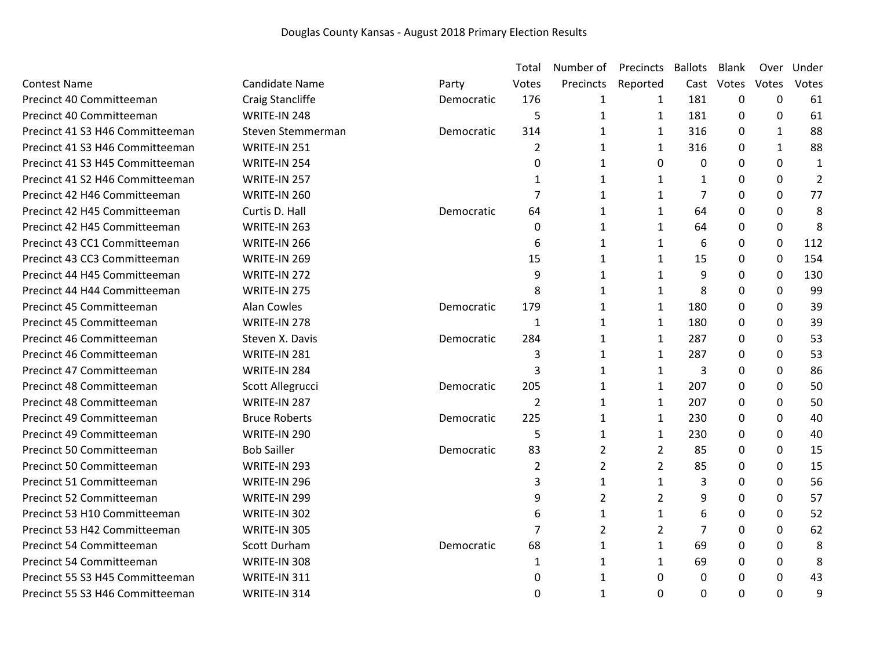|                                 |                      |            | Total          | Number of      | Precincts      | <b>Ballots</b> | Blank    | Over             | Under          |
|---------------------------------|----------------------|------------|----------------|----------------|----------------|----------------|----------|------------------|----------------|
| <b>Contest Name</b>             | Candidate Name       | Party      | Votes          | Precincts      | Reported       | Cast           | Votes    | Votes            | Votes          |
| Precinct 40 Committeeman        | Craig Stancliffe     | Democratic | 176            | 1              | 1              | 181            | 0        | 0                | 61             |
| Precinct 40 Committeeman        | WRITE-IN 248         |            | 5              | $\mathbf{1}$   | $\mathbf{1}$   | 181            | 0        | 0                | 61             |
| Precinct 41 S3 H46 Committeeman | Steven Stemmerman    | Democratic | 314            | $\mathbf{1}$   | $\mathbf{1}$   | 316            | $\Omega$ | 1                | 88             |
| Precinct 41 S3 H46 Committeeman | WRITE-IN 251         |            | $\overline{2}$ | 1              | $\mathbf{1}$   | 316            | 0        | 1                | 88             |
| Precinct 41 S3 H45 Committeeman | WRITE-IN 254         |            | 0              | 1              | 0              | 0              | 0        | 0                | 1              |
| Precinct 41 S2 H46 Committeeman | WRITE-IN 257         |            | 1              | 1              | $\mathbf{1}$   | $\mathbf{1}$   | $\Omega$ | $\mathbf 0$      | $\overline{2}$ |
| Precinct 42 H46 Committeeman    | WRITE-IN 260         |            | 7              | 1              | 1              | 7              | 0        | $\mathbf{0}$     | 77             |
| Precinct 42 H45 Committeeman    | Curtis D. Hall       | Democratic | 64             | 1              | 1              | 64             | 0        | 0                | 8              |
| Precinct 42 H45 Committeeman    | WRITE-IN 263         |            | 0              | 1              | $\mathbf{1}$   | 64             | 0        | $\boldsymbol{0}$ | 8              |
| Precinct 43 CC1 Committeeman    | WRITE-IN 266         |            | 6              | 1              | 1              | 6              | 0        | $\mathbf 0$      | 112            |
| Precinct 43 CC3 Committeeman    | WRITE-IN 269         |            | 15             | 1              | $\mathbf{1}$   | 15             | 0        | $\mathbf 0$      | 154            |
| Precinct 44 H45 Committeeman    | WRITE-IN 272         |            | 9              | $\mathbf{1}$   | 1              | 9              | 0        | 0                | 130            |
| Precinct 44 H44 Committeeman    | WRITE-IN 275         |            | 8              | $\mathbf{1}$   | $\mathbf{1}$   | 8              | 0        | $\mathbf 0$      | 99             |
| Precinct 45 Committeeman        | Alan Cowles          | Democratic | 179            | $\mathbf{1}$   | 1              | 180            | 0        | 0                | 39             |
| Precinct 45 Committeeman        | WRITE-IN 278         |            | $\mathbf{1}$   | 1              | 1              | 180            | 0        | 0                | 39             |
| Precinct 46 Committeeman        | Steven X. Davis      | Democratic | 284            | 1              | 1              | 287            | 0        | $\mathbf{0}$     | 53             |
| Precinct 46 Committeeman        | WRITE-IN 281         |            | 3              | 1              | 1              | 287            | 0        | $\mathbf 0$      | 53             |
| Precinct 47 Committeeman        | WRITE-IN 284         |            | 3              | 1              | $\mathbf{1}$   | 3              | 0        | 0                | 86             |
| Precinct 48 Committeeman        | Scott Allegrucci     | Democratic | 205            | 1              | 1              | 207            | 0        | $\mathbf 0$      | 50             |
| Precinct 48 Committeeman        | WRITE-IN 287         |            | 2              | 1              | 1              | 207            | 0        | $\mathbf 0$      | 50             |
| Precinct 49 Committeeman        | <b>Bruce Roberts</b> | Democratic | 225            | 1              | 1              | 230            | 0        | 0                | 40             |
| Precinct 49 Committeeman        | WRITE-IN 290         |            | 5              | $\mathbf{1}$   | 1              | 230            | $\Omega$ | $\mathbf{0}$     | 40             |
| Precinct 50 Committeeman        | <b>Bob Sailler</b>   | Democratic | 83             | $\overline{2}$ | $\overline{2}$ | 85             | 0        | 0                | 15             |
| Precinct 50 Committeeman        | WRITE-IN 293         |            | $\overline{2}$ | $\overline{2}$ | $\overline{2}$ | 85             | 0        | 0                | 15             |
| Precinct 51 Committeeman        | WRITE-IN 296         |            | 3              | 1              | 1              | 3              | $\Omega$ | $\mathbf{0}$     | 56             |
| Precinct 52 Committeeman        | WRITE-IN 299         |            | 9              | 2              | $\overline{2}$ | 9              | 0        | $\mathbf 0$      | 57             |
| Precinct 53 H10 Committeeman    | WRITE-IN 302         |            | 6              | 1              | $\mathbf{1}$   | 6              | 0        | 0                | 52             |
| Precinct 53 H42 Committeeman    | WRITE-IN 305         |            | $\overline{7}$ | $\overline{2}$ | $\overline{2}$ | $\overline{7}$ | 0        | $\mathbf 0$      | 62             |
| Precinct 54 Committeeman        | Scott Durham         | Democratic | 68             | 1              | 1              | 69             | 0        | 0                | 8              |
| Precinct 54 Committeeman        | WRITE-IN 308         |            | 1              | 1              | $\mathbf{1}$   | 69             | $\Omega$ | $\mathbf 0$      | 8              |
| Precinct 55 S3 H45 Committeeman | WRITE-IN 311         |            | 0              | 1              | 0              | 0              | 0        | $\mathbf{0}$     | 43             |
| Precinct 55 S3 H46 Committeeman | WRITE-IN 314         |            | 0              | 1              | $\Omega$       | $\Omega$       | $\Omega$ | $\mathbf 0$      | 9              |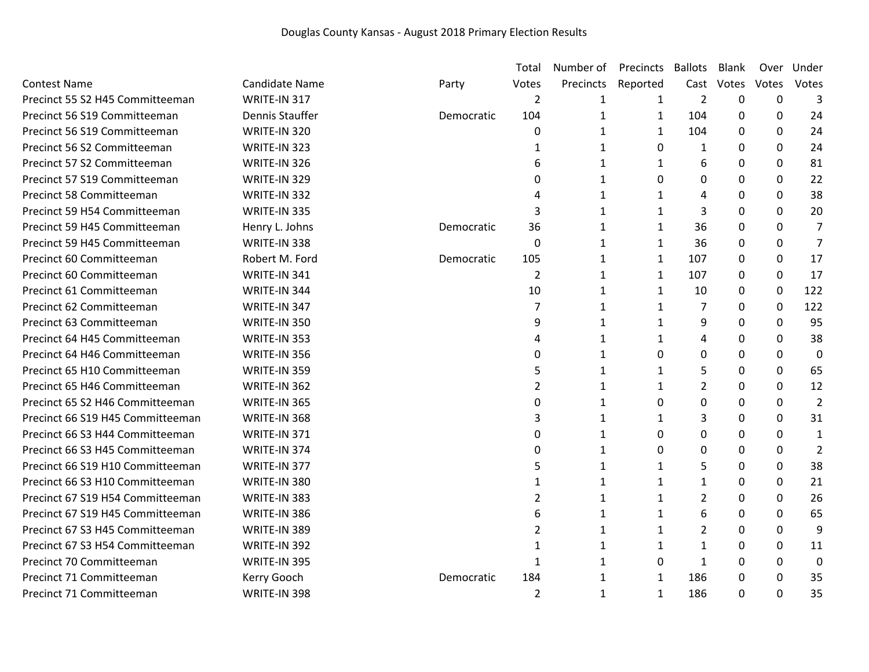|                                  |                       |            | Total          | Number of    | Precincts    | <b>Ballots</b> | Blank        | Over             | Under            |
|----------------------------------|-----------------------|------------|----------------|--------------|--------------|----------------|--------------|------------------|------------------|
| <b>Contest Name</b>              | <b>Candidate Name</b> | Party      | Votes          | Precincts    | Reported     | Cast           | Votes        | Votes            | Votes            |
| Precinct 55 S2 H45 Committeeman  | WRITE-IN 317          |            | 2              | 1            | 1            | $\overline{2}$ | 0            | 0                | 3                |
| Precinct 56 S19 Committeeman     | Dennis Stauffer       | Democratic | 104            | $\mathbf{1}$ | $\mathbf{1}$ | 104            | 0            | $\mathbf 0$      | 24               |
| Precinct 56 S19 Committeeman     | WRITE-IN 320          |            | 0              | $\mathbf{1}$ | $\mathbf{1}$ | 104            | $\Omega$     | 0                | 24               |
| Precinct 56 S2 Committeeman      | WRITE-IN 323          |            | 1              | 1            | 0            | $\mathbf{1}$   | 0            | $\mathbf{0}$     | 24               |
| Precinct 57 S2 Committeeman      | WRITE-IN 326          |            | 6              | 1            | $\mathbf{1}$ | 6              | 0            | 0                | 81               |
| Precinct 57 S19 Committeeman     | WRITE-IN 329          |            | 0              | 1            | $\Omega$     | $\Omega$       | $\Omega$     | $\mathbf{0}$     | 22               |
| Precinct 58 Committeeman         | WRITE-IN 332          |            | 4              | $\mathbf{1}$ | 1            | 4              | 0            | $\mathbf{0}$     | 38               |
| Precinct 59 H54 Committeeman     | WRITE-IN 335          |            | 3              | 1            | $\mathbf{1}$ | 3              | 0            | 0                | 20               |
| Precinct 59 H45 Committeeman     | Henry L. Johns        | Democratic | 36             | 1            | $\mathbf{1}$ | 36             | 0            | 0                | 7                |
| Precinct 59 H45 Committeeman     | WRITE-IN 338          |            | $\Omega$       | 1            | $\mathbf{1}$ | 36             | 0            | 0                | 7                |
| Precinct 60 Committeeman         | Robert M. Ford        | Democratic | 105            | 1            | $\mathbf{1}$ | 107            | $\mathbf{0}$ | $\mathbf 0$      | 17               |
| Precinct 60 Committeeman         | WRITE-IN 341          |            | $\overline{2}$ | $\mathbf{1}$ | $\mathbf{1}$ | 107            | $\Omega$     | 0                | 17               |
| Precinct 61 Committeeman         | WRITE-IN 344          |            | 10             | 1            | $\mathbf{1}$ | 10             | $\Omega$     | 0                | 122              |
| Precinct 62 Committeeman         | WRITE-IN 347          |            | 7              | $\mathbf{1}$ | $\mathbf{1}$ | 7              | 0            | $\boldsymbol{0}$ | 122              |
| Precinct 63 Committeeman         | WRITE-IN 350          |            | 9              | 1            | $\mathbf{1}$ | 9              | $\Omega$     | $\mathbf 0$      | 95               |
| Precinct 64 H45 Committeeman     | WRITE-IN 353          |            | 4              | 1            | 1            | 4              | 0            | $\mathbf{0}$     | 38               |
| Precinct 64 H46 Committeeman     | WRITE-IN 356          |            | 0              | 1            | 0            | 0              | 0            | $\mathbf 0$      | $\boldsymbol{0}$ |
| Precinct 65 H10 Committeeman     | WRITE-IN 359          |            | 5              | $\mathbf{1}$ | $\mathbf{1}$ | 5              | 0            | 0                | 65               |
| Precinct 65 H46 Committeeman     | WRITE-IN 362          |            | $\overline{2}$ | $\mathbf{1}$ | $\mathbf{1}$ | $\overline{2}$ | 0            | $\mathbf{0}$     | 12               |
| Precinct 65 S2 H46 Committeeman  | WRITE-IN 365          |            | $\mathbf 0$    | 1            | $\Omega$     | 0              | $\Omega$     | $\mathbf 0$      | $\overline{2}$   |
| Precinct 66 S19 H45 Committeeman | WRITE-IN 368          |            | 3              | 1            | $\mathbf{1}$ | 3              | $\Omega$     | $\mathbf{0}$     | 31               |
| Precinct 66 S3 H44 Committeeman  | WRITE-IN 371          |            | 0              | $\mathbf{1}$ | $\Omega$     | 0              | 0            | $\mathbf{0}$     | 1                |
| Precinct 66 S3 H45 Committeeman  | WRITE-IN 374          |            | 0              | $\mathbf{1}$ | 0            | 0              | 0            | 0                | $\overline{2}$   |
| Precinct 66 S19 H10 Committeeman | WRITE-IN 377          |            | 5              | 1            | $\mathbf{1}$ | 5              | $\Omega$     | 0                | 38               |
| Precinct 66 S3 H10 Committeeman  | WRITE-IN 380          |            | 1              | 1            | $\mathbf{1}$ | $\mathbf{1}$   | $\Omega$     | $\mathbf 0$      | 21               |
| Precinct 67 S19 H54 Committeeman | WRITE-IN 383          |            | $\overline{2}$ | 1            | 1            | $\overline{2}$ | 0            | $\mathbf 0$      | 26               |
| Precinct 67 S19 H45 Committeeman | WRITE-IN 386          |            | 6              | $\mathbf{1}$ | $\mathbf{1}$ | 6              | 0            | 0                | 65               |
| Precinct 67 S3 H45 Committeeman  | WRITE-IN 389          |            | 2              | 1            | $\mathbf{1}$ | $\overline{2}$ | 0            | 0                | 9                |
| Precinct 67 S3 H54 Committeeman  | WRITE-IN 392          |            | $\mathbf{1}$   | 1            | $\mathbf{1}$ | $\mathbf{1}$   | 0            | 0                | 11               |
| Precinct 70 Committeeman         | WRITE-IN 395          |            | 1              | 1            | $\Omega$     | $\mathbf{1}$   | 0            | 0                | $\boldsymbol{0}$ |
| Precinct 71 Committeeman         | Kerry Gooch           | Democratic | 184            | 1            | 1            | 186            | 0            | 0                | 35               |
| Precinct 71 Committeeman         | WRITE-IN 398          |            | $\overline{2}$ | 1            | $\mathbf{1}$ | 186            | 0            | $\mathbf 0$      | 35               |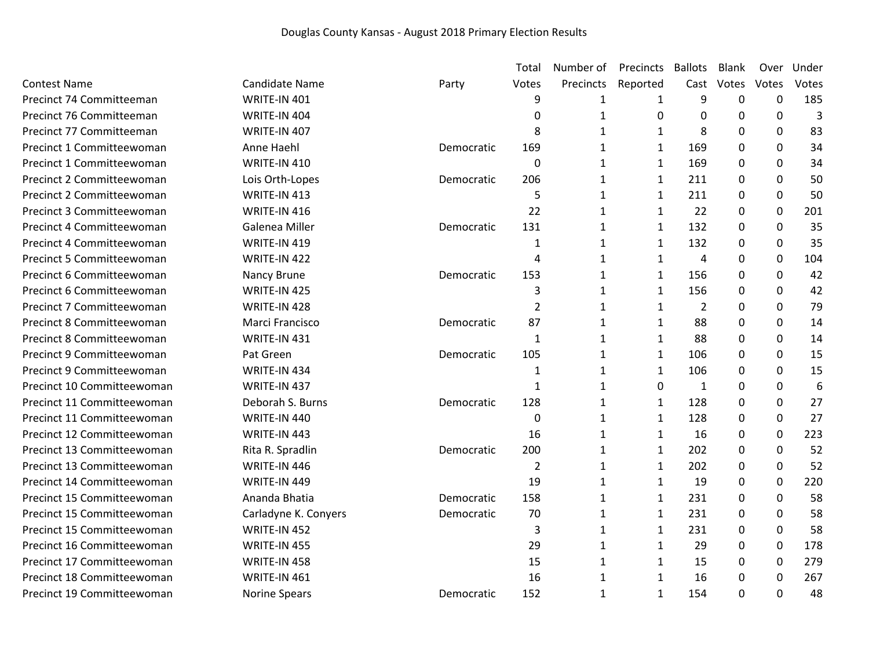|                            |                      |            | Total            | Number of    | Precincts    | <b>Ballots</b> | <b>Blank</b> | Over        | Under |
|----------------------------|----------------------|------------|------------------|--------------|--------------|----------------|--------------|-------------|-------|
| <b>Contest Name</b>        | Candidate Name       | Party      | Votes            | Precincts    | Reported     | Cast           | Votes        | Votes       | Votes |
| Precinct 74 Committeeman   | WRITE-IN 401         |            | 9                | 1            | 1            | 9              | $\mathbf 0$  | $\mathbf 0$ | 185   |
| Precinct 76 Committeeman   | WRITE-IN 404         |            | $\Omega$         | 1            | 0            | 0              | $\Omega$     | 0           | 3     |
| Precinct 77 Committeeman   | WRITE-IN 407         |            | 8                | 1            | 1            | 8              | 0            | 0           | 83    |
| Precinct 1 Committeewoman  | Anne Haehl           | Democratic | 169              | 1            | $\mathbf{1}$ | 169            | 0            | 0           | 34    |
| Precinct 1 Committeewoman  | WRITE-IN 410         |            | $\boldsymbol{0}$ | 1            | 1            | 169            | 0            | 0           | 34    |
| Precinct 2 Committeewoman  | Lois Orth-Lopes      | Democratic | 206              | 1            | $\mathbf{1}$ | 211            | 0            | 0           | 50    |
| Precinct 2 Committeewoman  | WRITE-IN 413         |            | 5                | 1            | 1            | 211            | 0            | 0           | 50    |
| Precinct 3 Committeewoman  | WRITE-IN 416         |            | 22               | 1            | $\mathbf{1}$ | 22             | 0            | 0           | 201   |
| Precinct 4 Committeewoman  | Galenea Miller       | Democratic | 131              | 1            | $\mathbf{1}$ | 132            | 0            | 0           | 35    |
| Precinct 4 Committeewoman  | WRITE-IN 419         |            | 1                | 1            | 1            | 132            | 0            | 0           | 35    |
| Precinct 5 Committeewoman  | WRITE-IN 422         |            | 4                | 1            | $\mathbf{1}$ | 4              | $\Omega$     | 0           | 104   |
| Precinct 6 Committeewoman  | Nancy Brune          | Democratic | 153              | 1            | 1            | 156            | 0            | 0           | 42    |
| Precinct 6 Committeewoman  | WRITE-IN 425         |            | 3                | 1            | $\mathbf{1}$ | 156            | 0            | 0           | 42    |
| Precinct 7 Committeewoman  | WRITE-IN 428         |            | $\overline{2}$   | 1            | 1            | $\overline{2}$ | 0            | 0           | 79    |
| Precinct 8 Committeewoman  | Marci Francisco      | Democratic | 87               | 1            | 1            | 88             | 0            | 0           | 14    |
| Precinct 8 Committeewoman  | WRITE-IN 431         |            | 1                | 1            | $\mathbf{1}$ | 88             | 0            | 0           | 14    |
| Precinct 9 Committeewoman  | Pat Green            | Democratic | 105              | $\mathbf{1}$ | 1            | 106            | $\Omega$     | 0           | 15    |
| Precinct 9 Committeewoman  | WRITE-IN 434         |            | $\mathbf{1}$     | 1            | $\mathbf{1}$ | 106            | 0            | 0           | 15    |
| Precinct 10 Committeewoman | WRITE-IN 437         |            | 1                | 1            | $\mathbf 0$  | 1              | 0            | 0           | 6     |
| Precinct 11 Committeewoman | Deborah S. Burns     | Democratic | 128              | 1            | $\mathbf{1}$ | 128            | $\Omega$     | 0           | 27    |
| Precinct 11 Committeewoman | WRITE-IN 440         |            | $\Omega$         | 1            | $\mathbf{1}$ | 128            | 0            | 0           | 27    |
| Precinct 12 Committeewoman | WRITE-IN 443         |            | 16               | 1            | 1            | 16             | 0            | 0           | 223   |
| Precinct 13 Committeewoman | Rita R. Spradlin     | Democratic | 200              | 1            | $\mathbf{1}$ | 202            | 0            | 0           | 52    |
| Precinct 13 Committeewoman | WRITE-IN 446         |            | $\overline{2}$   | 1            | 1            | 202            | 0            | 0           | 52    |
| Precinct 14 Committeewoman | WRITE-IN 449         |            | 19               | 1            | 1            | 19             | 0            | 0           | 220   |
| Precinct 15 Committeewoman | Ananda Bhatia        | Democratic | 158              | $\mathbf{1}$ | 1            | 231            | 0            | 0           | 58    |
| Precinct 15 Committeewoman | Carladyne K. Conyers | Democratic | 70               | $\mathbf{1}$ | 1            | 231            | 0            | 0           | 58    |
| Precinct 15 Committeewoman | WRITE-IN 452         |            | 3                | $\mathbf{1}$ | $\mathbf{1}$ | 231            | 0            | 0           | 58    |
| Precinct 16 Committeewoman | WRITE-IN 455         |            | 29               | 1            | 1            | 29             | 0            | 0           | 178   |
| Precinct 17 Committeewoman | WRITE-IN 458         |            | 15               | 1            | $\mathbf{1}$ | 15             | 0            | 0           | 279   |
| Precinct 18 Committeewoman | WRITE-IN 461         |            | 16               | 1            | 1            | 16             | 0            | 0           | 267   |
| Precinct 19 Committeewoman | Norine Spears        | Democratic | 152              | 1            | $\mathbf{1}$ | 154            | 0            | 0           | 48    |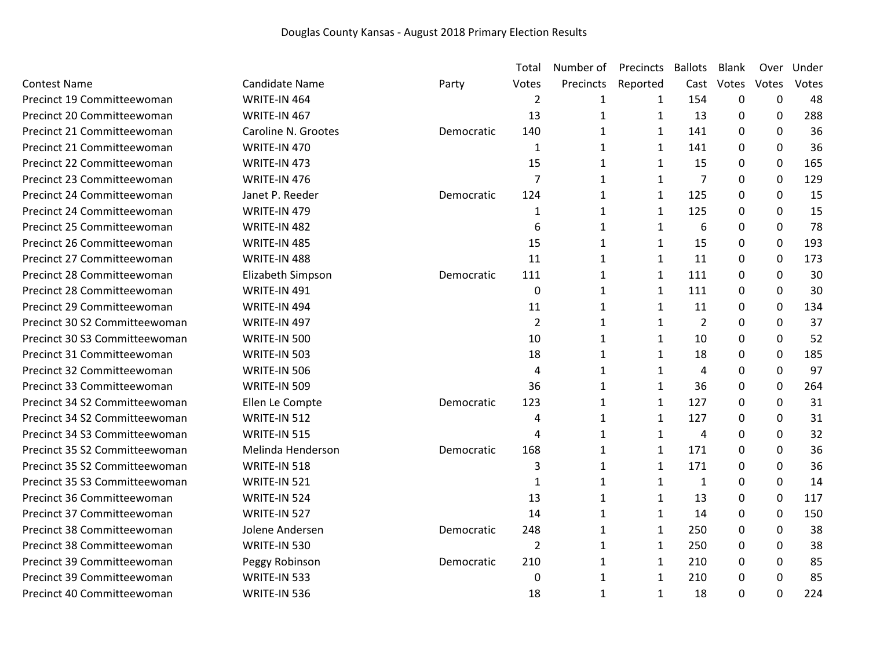|                               |                       |            | Total          | Number of    | Precincts    | <b>Ballots</b> | <b>Blank</b> | Over             | Under |
|-------------------------------|-----------------------|------------|----------------|--------------|--------------|----------------|--------------|------------------|-------|
| <b>Contest Name</b>           | <b>Candidate Name</b> | Party      | Votes          | Precincts    | Reported     | Cast           | Votes        | Votes            | Votes |
| Precinct 19 Committeewoman    | WRITE-IN 464          |            | $\overline{2}$ | 1            | 1            | 154            | 0            | $\mathbf 0$      | 48    |
| Precinct 20 Committeewoman    | WRITE-IN 467          |            | 13             | $\mathbf{1}$ | 1            | 13             | 0            | $\boldsymbol{0}$ | 288   |
| Precinct 21 Committeewoman    | Caroline N. Grootes   | Democratic | 140            | 1            | 1            | 141            | 0            | 0                | 36    |
| Precinct 21 Committeewoman    | WRITE-IN 470          |            | 1              | $\mathbf{1}$ | 1            | 141            | 0            | $\mathbf 0$      | 36    |
| Precinct 22 Committeewoman    | WRITE-IN 473          |            | 15             | $\mathbf{1}$ | 1            | 15             | 0            | $\mathbf 0$      | 165   |
| Precinct 23 Committeewoman    | WRITE-IN 476          |            | 7              | $\mathbf{1}$ | 1            | $\overline{7}$ | 0            | 0                | 129   |
| Precinct 24 Committeewoman    | Janet P. Reeder       | Democratic | 124            | $\mathbf{1}$ | $\mathbf{1}$ | 125            | 0            | 0                | 15    |
| Precinct 24 Committeewoman    | WRITE-IN 479          |            | 1              | 1            | 1            | 125            | 0            | 0                | 15    |
| Precinct 25 Committeewoman    | WRITE-IN 482          |            | 6              | $\mathbf{1}$ | $\mathbf{1}$ | 6              | 0            | $\mathbf 0$      | 78    |
| Precinct 26 Committeewoman    | WRITE-IN 485          |            | 15             | 1            | 1            | 15             | $\Omega$     | $\mathbf 0$      | 193   |
| Precinct 27 Committeewoman    | WRITE-IN 488          |            | 11             | 1            | 1            | 11             | 0            | $\boldsymbol{0}$ | 173   |
| Precinct 28 Committeewoman    | Elizabeth Simpson     | Democratic | 111            | $\mathbf{1}$ | $\mathbf{1}$ | 111            | 0            | $\mathbf 0$      | 30    |
| Precinct 28 Committeewoman    | WRITE-IN 491          |            | 0              | 1            | 1            | 111            | 0            | 0                | 30    |
| Precinct 29 Committeewoman    | WRITE-IN 494          |            | 11             | $\mathbf{1}$ | $\mathbf{1}$ | 11             | 0            | 0                | 134   |
| Precinct 30 S2 Committeewoman | WRITE-IN 497          |            | $\overline{2}$ | 1            | 1            | $\overline{2}$ | 0            | 0                | 37    |
| Precinct 30 S3 Committeewoman | WRITE-IN 500          |            | 10             | $\mathbf{1}$ | $\mathbf{1}$ | 10             | 0            | 0                | 52    |
| Precinct 31 Committeewoman    | WRITE-IN 503          |            | 18             | $\mathbf{1}$ | $\mathbf{1}$ | 18             | 0            | 0                | 185   |
| Precinct 32 Committeewoman    | WRITE-IN 506          |            | $\overline{4}$ | 1            | 1            | $\overline{4}$ | 0            | $\mathbf 0$      | 97    |
| Precinct 33 Committeewoman    | WRITE-IN 509          |            | 36             | 1            | $\mathbf{1}$ | 36             | 0            | $\mathbf 0$      | 264   |
| Precinct 34 S2 Committeewoman | Ellen Le Compte       | Democratic | 123            | 1            | 1            | 127            | 0            | 0                | 31    |
| Precinct 34 S2 Committeewoman | WRITE-IN 512          |            | 4              | 1            | 1            | 127            | 0            | 0                | 31    |
| Precinct 34 S3 Committeewoman | WRITE-IN 515          |            | 4              | $\mathbf{1}$ | $\mathbf{1}$ | $\overline{4}$ | 0            | 0                | 32    |
| Precinct 35 S2 Committeewoman | Melinda Henderson     | Democratic | 168            | $\mathbf{1}$ | $\mathbf{1}$ | 171            | 0            | 0                | 36    |
| Precinct 35 S2 Committeewoman | WRITE-IN 518          |            | 3              | $\mathbf{1}$ | $\mathbf{1}$ | 171            | 0            | 0                | 36    |
| Precinct 35 S3 Committeewoman | WRITE-IN 521          |            | 1              | 1            | 1            | 1              | 0            | 0                | 14    |
| Precinct 36 Committeewoman    | WRITE-IN 524          |            | 13             | $\mathbf{1}$ | $\mathbf{1}$ | 13             | 0            | $\boldsymbol{0}$ | 117   |
| Precinct 37 Committeewoman    | WRITE-IN 527          |            | 14             | $\mathbf{1}$ | $\mathbf{1}$ | 14             | 0            | $\mathbf 0$      | 150   |
| Precinct 38 Committeewoman    | Jolene Andersen       | Democratic | 248            | $\mathbf{1}$ | $\mathbf{1}$ | 250            | 0            | $\mathbf 0$      | 38    |
| Precinct 38 Committeewoman    | WRITE-IN 530          |            | $\overline{2}$ | $\mathbf{1}$ | $\mathbf{1}$ | 250            | 0            | $\mathbf 0$      | 38    |
| Precinct 39 Committeewoman    | Peggy Robinson        | Democratic | 210            | 1            | 1            | 210            | 0            | 0                | 85    |
| Precinct 39 Committeewoman    | WRITE-IN 533          |            | $\mathbf{0}$   | 1            | 1            | 210            | 0            | 0                | 85    |
| Precinct 40 Committeewoman    | WRITE-IN 536          |            | 18             | 1            | 1            | 18             | 0            | 0                | 224   |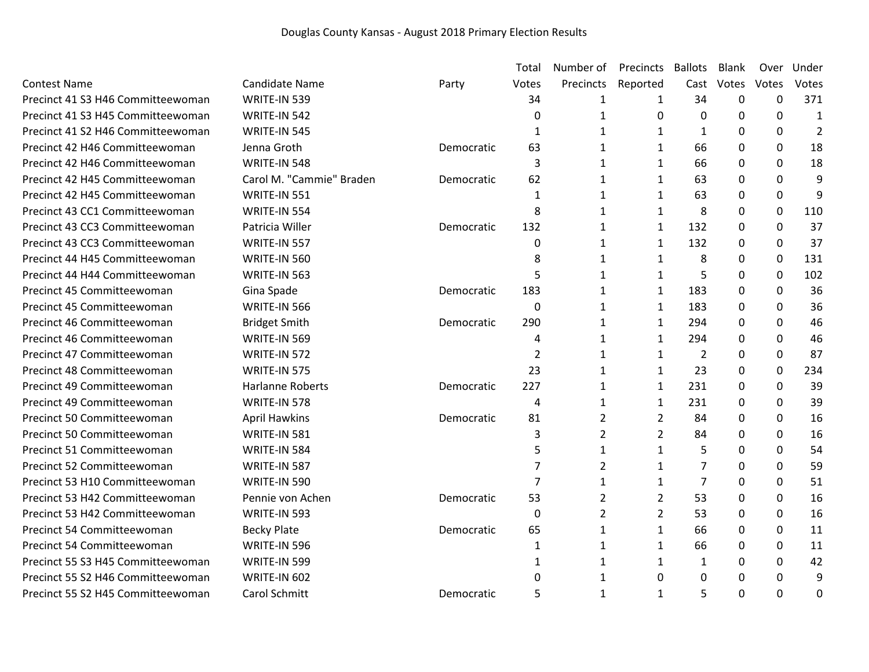|                                   |                          |            | Total            | Number of      | Precincts      | <b>Ballots</b> | <b>Blank</b>     | Over        | Under          |
|-----------------------------------|--------------------------|------------|------------------|----------------|----------------|----------------|------------------|-------------|----------------|
| <b>Contest Name</b>               | Candidate Name           | Party      | Votes            | Precincts      | Reported       | Cast           | Votes            | Votes       | Votes          |
| Precinct 41 S3 H46 Committeewoman | WRITE-IN 539             |            | 34               | 1              | 1              | 34             | 0                | $\mathbf 0$ | 371            |
| Precinct 41 S3 H45 Committeewoman | WRITE-IN 542             |            | $\mathbf 0$      | $\mathbf{1}$   | $\Omega$       | $\Omega$       | 0                | 0           | $\mathbf{1}$   |
| Precinct 41 S2 H46 Committeewoman | WRITE-IN 545             |            | 1                | 1              | 1              | 1              | $\Omega$         | 0           | $\overline{2}$ |
| Precinct 42 H46 Committeewoman    | Jenna Groth              | Democratic | 63               | $\mathbf{1}$   | $\mathbf{1}$   | 66             | 0                | 0           | 18             |
| Precinct 42 H46 Committeewoman    | WRITE-IN 548             |            | 3                | 1              | $\mathbf{1}$   | 66             | 0                | 0           | 18             |
| Precinct 42 H45 Committeewoman    | Carol M. "Cammie" Braden | Democratic | 62               | $\mathbf{1}$   | $\mathbf{1}$   | 63             | 0                | 0           | 9              |
| Precinct 42 H45 Committeewoman    | WRITE-IN 551             |            | $\mathbf{1}$     | 1              | $\mathbf{1}$   | 63             | 0                | 0           | 9              |
| Precinct 43 CC1 Committeewoman    | WRITE-IN 554             |            | 8                | 1              | $\mathbf{1}$   | 8              | $\Omega$         | 0           | 110            |
| Precinct 43 CC3 Committeewoman    | Patricia Willer          | Democratic | 132              | 1              | $\mathbf{1}$   | 132            | 0                | 0           | 37             |
| Precinct 43 CC3 Committeewoman    | WRITE-IN 557             |            | 0                | $\mathbf{1}$   | $\mathbf{1}$   | 132            | 0                | 0           | 37             |
| Precinct 44 H45 Committeewoman    | WRITE-IN 560             |            | 8                | 1              | $\mathbf{1}$   | 8              | 0                | 0           | 131            |
| Precinct 44 H44 Committeewoman    | WRITE-IN 563             |            | 5                | $\mathbf{1}$   | $\mathbf{1}$   | 5              | $\Omega$         | 0           | 102            |
| Precinct 45 Committeewoman        | Gina Spade               | Democratic | 183              | 1              | 1              | 183            | 0                | 0           | 36             |
| Precinct 45 Committeewoman        | WRITE-IN 566             |            | $\boldsymbol{0}$ | $\mathbf{1}$   | $\mathbf{1}$   | 183            | 0                | 0           | 36             |
| Precinct 46 Committeewoman        | <b>Bridget Smith</b>     | Democratic | 290              | 1              | $\mathbf{1}$   | 294            | 0                | 0           | 46             |
| Precinct 46 Committeewoman        | WRITE-IN 569             |            | 4                | 1              | $\mathbf{1}$   | 294            | 0                | 0           | 46             |
| Precinct 47 Committeewoman        | WRITE-IN 572             |            | $\overline{2}$   | 1              | $\mathbf{1}$   | $\overline{2}$ | 0                | 0           | 87             |
| Precinct 48 Committeewoman        | WRITE-IN 575             |            | 23               | 1              | $\mathbf{1}$   | 23             | $\Omega$         | 0           | 234            |
| Precinct 49 Committeewoman        | Harlanne Roberts         | Democratic | 227              | 1              | $\mathbf{1}$   | 231            | 0                | $\mathbf 0$ | 39             |
| Precinct 49 Committeewoman        | WRITE-IN 578             |            | 4                | $\mathbf{1}$   | $\mathbf{1}$   | 231            | 0                | 0           | 39             |
| Precinct 50 Committeewoman        | <b>April Hawkins</b>     | Democratic | 81               | $\overline{2}$ | $\overline{2}$ | 84             | 0                | 0           | 16             |
| Precinct 50 Committeewoman        | WRITE-IN 581             |            | 3                | $\overline{2}$ | $\overline{2}$ | 84             | 0                | 0           | 16             |
| Precinct 51 Committeewoman        | WRITE-IN 584             |            | 5                | 1              | 1              | 5              | 0                | $\mathbf 0$ | 54             |
| Precinct 52 Committeewoman        | WRITE-IN 587             |            | $\overline{7}$   | $\overline{2}$ | $\mathbf{1}$   | 7              | 0                | 0           | 59             |
| Precinct 53 H10 Committeewoman    | WRITE-IN 590             |            | $\overline{7}$   | $\mathbf{1}$   | $\mathbf{1}$   | 7              | $\boldsymbol{0}$ | 0           | 51             |
| Precinct 53 H42 Committeewoman    | Pennie von Achen         | Democratic | 53               | $\overline{2}$ | $\overline{2}$ | 53             | 0                | 0           | 16             |
| Precinct 53 H42 Committeewoman    | WRITE-IN 593             |            | $\mathbf 0$      | $\overline{2}$ | $\overline{2}$ | 53             | $\Omega$         | 0           | 16             |
| Precinct 54 Committeewoman        | <b>Becky Plate</b>       | Democratic | 65               | 1              | 1              | 66             | $\Omega$         | 0           | 11             |
| Precinct 54 Committeewoman        | WRITE-IN 596             |            | 1                | 1              | $\mathbf{1}$   | 66             | 0                | 0           | 11             |
| Precinct 55 S3 H45 Committeewoman | WRITE-IN 599             |            | 1                | 1              | 1              | 1              | 0                | 0           | 42             |
| Precinct 55 S2 H46 Committeewoman | WRITE-IN 602             |            | 0                | 1              | 0              | 0              | $\Omega$         | 0           | 9              |
| Precinct 55 S2 H45 Committeewoman | Carol Schmitt            | Democratic | 5                | $\mathbf{1}$   | $\mathbf{1}$   | 5              | 0                | 0           | 0              |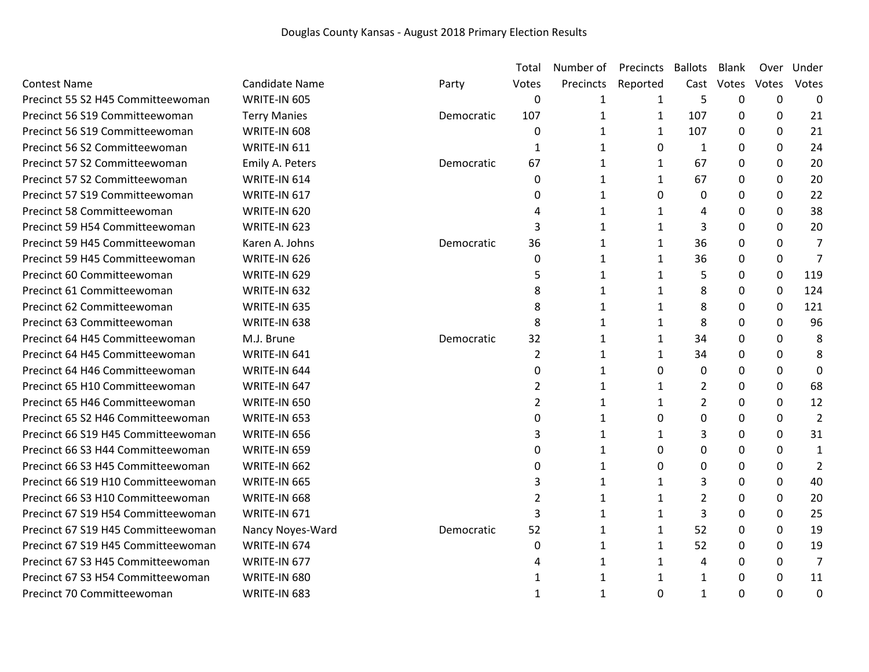|                                    |                       |            | Total          | Number of    | Precincts    | <b>Ballots</b> | Blank       | Over        | Under          |
|------------------------------------|-----------------------|------------|----------------|--------------|--------------|----------------|-------------|-------------|----------------|
| <b>Contest Name</b>                | <b>Candidate Name</b> | Party      | Votes          | Precincts    | Reported     | Cast           | Votes       | Votes       | Votes          |
| Precinct 55 S2 H45 Committeewoman  | WRITE-IN 605          |            | 0              | 1            | 1            | 5              | $\mathbf 0$ | $\mathbf 0$ | $\mathbf 0$    |
| Precinct 56 S19 Committeewoman     | <b>Terry Manies</b>   | Democratic | 107            | 1            | $\mathbf{1}$ | 107            | $\Omega$    | 0           | 21             |
| Precinct 56 S19 Committeewoman     | WRITE-IN 608          |            | 0              | 1            | $\mathbf{1}$ | 107            | 0           | 0           | 21             |
| Precinct 56 S2 Committeewoman      | WRITE-IN 611          |            | 1              | 1            | 0            | $\mathbf{1}$   | 0           | 0           | 24             |
| Precinct 57 S2 Committeewoman      | Emily A. Peters       | Democratic | 67             | 1            | $\mathbf{1}$ | 67             | 0           | 0           | 20             |
| Precinct 57 S2 Committeewoman      | WRITE-IN 614          |            | 0              | 1            | $\mathbf{1}$ | 67             | 0           | 0           | 20             |
| Precinct 57 S19 Committeewoman     | WRITE-IN 617          |            | 0              | 1            | 0            | 0              | 0           | 0           | 22             |
| Precinct 58 Committeewoman         | WRITE-IN 620          |            | 4              | 1            | $\mathbf{1}$ | 4              | 0           | 0           | 38             |
| Precinct 59 H54 Committeewoman     | WRITE-IN 623          |            | 3              | 1            | $\mathbf{1}$ | 3              | $\Omega$    | 0           | 20             |
| Precinct 59 H45 Committeewoman     | Karen A. Johns        | Democratic | 36             | 1            | 1            | 36             | 0           | 0           | 7              |
| Precinct 59 H45 Committeewoman     | WRITE-IN 626          |            | $\Omega$       | 1            | $\mathbf{1}$ | 36             | 0           | 0           | 7              |
| Precinct 60 Committeewoman         | WRITE-IN 629          |            | 5              | 1            | $\mathbf{1}$ | 5              | 0           | 0           | 119            |
| Precinct 61 Committeewoman         | WRITE-IN 632          |            | 8              | $\mathbf{1}$ | $\mathbf{1}$ | 8              | 0           | 0           | 124            |
| Precinct 62 Committeewoman         | WRITE-IN 635          |            | 8              | 1            | $\mathbf{1}$ | 8              | 0           | 0           | 121            |
| Precinct 63 Committeewoman         | WRITE-IN 638          |            | 8              | 1            | $\mathbf{1}$ | 8              | 0           | 0           | 96             |
| Precinct 64 H45 Committeewoman     | M.J. Brune            | Democratic | 32             | 1            | 1            | 34             | 0           | 0           | 8              |
| Precinct 64 H45 Committeewoman     | WRITE-IN 641          |            | $\overline{2}$ | 1            | $\mathbf{1}$ | 34             | 0           | 0           | 8              |
| Precinct 64 H46 Committeewoman     | WRITE-IN 644          |            | 0              | 1            | 0            | 0              | 0           | 0           | $\mathbf 0$    |
| Precinct 65 H10 Committeewoman     | WRITE-IN 647          |            | $\overline{2}$ | 1            | $\mathbf{1}$ | $\overline{2}$ | 0           | 0           | 68             |
| Precinct 65 H46 Committeewoman     | WRITE-IN 650          |            | $\overline{2}$ | 1            | $\mathbf{1}$ | $\overline{2}$ | 0           | 0           | 12             |
| Precinct 65 S2 H46 Committeewoman  | WRITE-IN 653          |            | $\Omega$       | $\mathbf{1}$ | 0            | 0              | 0           | 0           | $\overline{2}$ |
| Precinct 66 S19 H45 Committeewoman | WRITE-IN 656          |            | 3              | 1            | 1            | 3              | 0           | 0           | 31             |
| Precinct 66 S3 H44 Committeewoman  | WRITE-IN 659          |            | 0              | 1            | 0            | 0              | 0           | 0           | 1              |
| Precinct 66 S3 H45 Committeewoman  | WRITE-IN 662          |            | 0              | 1            | 0            | 0              | 0           | 0           | $\overline{2}$ |
| Precinct 66 S19 H10 Committeewoman | WRITE-IN 665          |            | 3              | 1            | 1            | 3              | 0           | 0           | 40             |
| Precinct 66 S3 H10 Committeewoman  | WRITE-IN 668          |            | $\overline{2}$ | 1            | 1            | $\overline{2}$ | 0           | 0           | 20             |
| Precinct 67 S19 H54 Committeewoman | WRITE-IN 671          |            | 3              | 1            | 1            | 3              | 0           | 0           | 25             |
| Precinct 67 S19 H45 Committeewoman | Nancy Noyes-Ward      | Democratic | 52             | 1            | $\mathbf{1}$ | 52             | 0           | 0           | 19             |
| Precinct 67 S19 H45 Committeewoman | WRITE-IN 674          |            | $\Omega$       | 1            | $\mathbf{1}$ | 52             | $\Omega$    | 0           | 19             |
| Precinct 67 S3 H45 Committeewoman  | WRITE-IN 677          |            | 4              | 1            | $\mathbf{1}$ | 4              | 0           | 0           | $\overline{7}$ |
| Precinct 67 S3 H54 Committeewoman  | WRITE-IN 680          |            | 1              | 1            | 1            | 1              | $\Omega$    | 0           | 11             |
| Precinct 70 Committeewoman         | WRITE-IN 683          |            | 1              | 1            | $\Omega$     | $\mathbf{1}$   | $\Omega$    | $\Omega$    | 0              |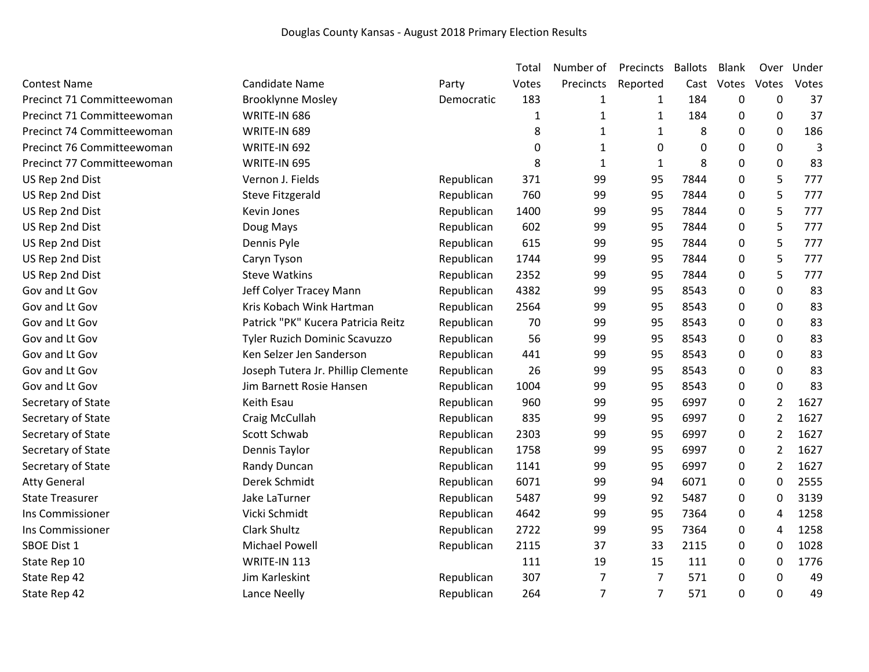|                            |                                    |            | Total        | Number of    | Precincts    | <b>Ballots</b> | <b>Blank</b> | Over             | Under |
|----------------------------|------------------------------------|------------|--------------|--------------|--------------|----------------|--------------|------------------|-------|
| <b>Contest Name</b>        | <b>Candidate Name</b>              | Party      | Votes        | Precincts    | Reported     | Cast           | Votes        | Votes            | Votes |
| Precinct 71 Committeewoman | <b>Brooklynne Mosley</b>           | Democratic | 183          | 1            | 1            | 184            | 0            | $\boldsymbol{0}$ | 37    |
| Precinct 71 Committeewoman | WRITE-IN 686                       |            | $\mathbf{1}$ | $\mathbf{1}$ | 1            | 184            | 0            | 0                | 37    |
| Precinct 74 Committeewoman | WRITE-IN 689                       |            | 8            | 1            | 1            | 8              | 0            | 0                | 186   |
| Precinct 76 Committeewoman | WRITE-IN 692                       |            | 0            | 1            | 0            | 0              | 0            | $\pmb{0}$        | 3     |
| Precinct 77 Committeewoman | WRITE-IN 695                       |            | 8            | $\mathbf{1}$ | $\mathbf{1}$ | 8              | 0            | 0                | 83    |
| US Rep 2nd Dist            | Vernon J. Fields                   | Republican | 371          | 99           | 95           | 7844           | 0            | 5                | 777   |
| US Rep 2nd Dist            | <b>Steve Fitzgerald</b>            | Republican | 760          | 99           | 95           | 7844           | 0            | 5                | 777   |
| US Rep 2nd Dist            | Kevin Jones                        | Republican | 1400         | 99           | 95           | 7844           | 0            | 5                | 777   |
| US Rep 2nd Dist            | Doug Mays                          | Republican | 602          | 99           | 95           | 7844           | 0            | 5                | 777   |
| US Rep 2nd Dist            | Dennis Pyle                        | Republican | 615          | 99           | 95           | 7844           | 0            | 5                | 777   |
| US Rep 2nd Dist            | Caryn Tyson                        | Republican | 1744         | 99           | 95           | 7844           | 0            | 5                | 777   |
| US Rep 2nd Dist            | <b>Steve Watkins</b>               | Republican | 2352         | 99           | 95           | 7844           | 0            | 5                | 777   |
| Gov and Lt Gov             | Jeff Colyer Tracey Mann            | Republican | 4382         | 99           | 95           | 8543           | 0            | 0                | 83    |
| Gov and Lt Gov             | Kris Kobach Wink Hartman           | Republican | 2564         | 99           | 95           | 8543           | 0            | 0                | 83    |
| Gov and Lt Gov             | Patrick "PK" Kucera Patricia Reitz | Republican | 70           | 99           | 95           | 8543           | 0            | 0                | 83    |
| Gov and Lt Gov             | Tyler Ruzich Dominic Scavuzzo      | Republican | 56           | 99           | 95           | 8543           | 0            | 0                | 83    |
| Gov and Lt Gov             | Ken Selzer Jen Sanderson           | Republican | 441          | 99           | 95           | 8543           | $\Omega$     | 0                | 83    |
| Gov and Lt Gov             | Joseph Tutera Jr. Phillip Clemente | Republican | 26           | 99           | 95           | 8543           | 0            | $\pmb{0}$        | 83    |
| Gov and Lt Gov             | Jim Barnett Rosie Hansen           | Republican | 1004         | 99           | 95           | 8543           | 0            | 0                | 83    |
| Secretary of State         | Keith Esau                         | Republican | 960          | 99           | 95           | 6997           | 0            | $\overline{2}$   | 1627  |
| Secretary of State         | Craig McCullah                     | Republican | 835          | 99           | 95           | 6997           | 0            | $\overline{2}$   | 1627  |
| Secretary of State         | Scott Schwab                       | Republican | 2303         | 99           | 95           | 6997           | 0            | $\overline{2}$   | 1627  |
| Secretary of State         | Dennis Taylor                      | Republican | 1758         | 99           | 95           | 6997           | 0            | 2                | 1627  |
| Secretary of State         | Randy Duncan                       | Republican | 1141         | 99           | 95           | 6997           | 0            | $\overline{2}$   | 1627  |
| <b>Atty General</b>        | Derek Schmidt                      | Republican | 6071         | 99           | 94           | 6071           | 0            | 0                | 2555  |
| <b>State Treasurer</b>     | Jake LaTurner                      | Republican | 5487         | 99           | 92           | 5487           | 0            | 0                | 3139  |
| Ins Commissioner           | Vicki Schmidt                      | Republican | 4642         | 99           | 95           | 7364           | 0            | 4                | 1258  |
| Ins Commissioner           | <b>Clark Shultz</b>                | Republican | 2722         | 99           | 95           | 7364           | 0            | 4                | 1258  |
| <b>SBOE Dist 1</b>         | Michael Powell                     | Republican | 2115         | 37           | 33           | 2115           | 0            | 0                | 1028  |
| State Rep 10               | WRITE-IN 113                       |            | 111          | 19           | 15           | 111            | 0            | 0                | 1776  |
| State Rep 42               | Jim Karleskint                     | Republican | 307          | 7            | 7            | 571            | 0            | 0                | 49    |
| State Rep 42               | Lance Neelly                       | Republican | 264          | 7            | 7            | 571            | 0            | 0                | 49    |
|                            |                                    |            |              |              |              |                |              |                  |       |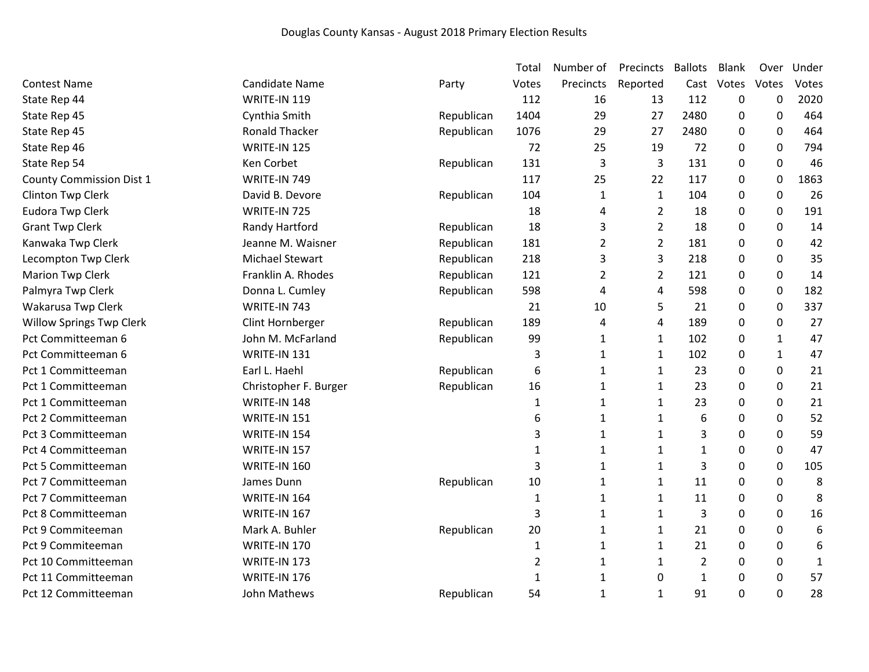|                                 |                        |            | Total          | Number of      | Precincts      | <b>Ballots</b> | <b>Blank</b> | Over             | Under        |
|---------------------------------|------------------------|------------|----------------|----------------|----------------|----------------|--------------|------------------|--------------|
| <b>Contest Name</b>             | <b>Candidate Name</b>  | Party      | Votes          | Precincts      | Reported       | Cast           | Votes        | Votes            | Votes        |
| State Rep 44                    | WRITE-IN 119           |            | 112            | 16             | 13             | 112            | 0            | $\mathbf 0$      | 2020         |
| State Rep 45                    | Cynthia Smith          | Republican | 1404           | 29             | 27             | 2480           | 0            | $\boldsymbol{0}$ | 464          |
| State Rep 45                    | <b>Ronald Thacker</b>  | Republican | 1076           | 29             | 27             | 2480           | 0            | 0                | 464          |
| State Rep 46                    | WRITE-IN 125           |            | 72             | 25             | 19             | 72             | 0            | $\mathbf 0$      | 794          |
| State Rep 54                    | Ken Corbet             | Republican | 131            | 3              | 3              | 131            | 0            | $\boldsymbol{0}$ | 46           |
| <b>County Commission Dist 1</b> | WRITE-IN 749           |            | 117            | 25             | 22             | 117            | 0            | $\boldsymbol{0}$ | 1863         |
| Clinton Twp Clerk               | David B. Devore        | Republican | 104            | 1              | 1              | 104            | 0            | $\mathbf 0$      | 26           |
| <b>Eudora Twp Clerk</b>         | WRITE-IN 725           |            | 18             | 4              | $\overline{2}$ | 18             | 0            | 0                | 191          |
| <b>Grant Twp Clerk</b>          | Randy Hartford         | Republican | 18             | 3              | $\overline{2}$ | 18             | 0            | $\mathbf 0$      | 14           |
| Kanwaka Twp Clerk               | Jeanne M. Waisner      | Republican | 181            | $\overline{2}$ | $\overline{2}$ | 181            | 0            | $\mathbf 0$      | 42           |
| Lecompton Twp Clerk             | <b>Michael Stewart</b> | Republican | 218            | 3              | 3              | 218            | 0            | $\Omega$         | 35           |
| Marion Twp Clerk                | Franklin A. Rhodes     | Republican | 121            | $\overline{2}$ | 2              | 121            | 0            | $\mathbf 0$      | 14           |
| Palmyra Twp Clerk               | Donna L. Cumley        | Republican | 598            | 4              | 4              | 598            | 0            | $\mathbf 0$      | 182          |
| Wakarusa Twp Clerk              | WRITE-IN 743           |            | 21             | 10             | 5              | 21             | 0            | 0                | 337          |
| <b>Willow Springs Twp Clerk</b> | Clint Hornberger       | Republican | 189            | 4              | 4              | 189            | 0            | 0                | 27           |
| Pct Committeeman 6              | John M. McFarland      | Republican | 99             | 1              | 1              | 102            | 0            | 1                | 47           |
| Pct Committeeman 6              | <b>WRITE-IN 131</b>    |            | 3              | 1              | 1              | 102            | 0            | 1                | 47           |
| Pct 1 Committeeman              | Earl L. Haehl          | Republican | 6              | $\mathbf{1}$   | $\mathbf{1}$   | 23             | 0            | 0                | 21           |
| Pct 1 Committeeman              | Christopher F. Burger  | Republican | 16             | 1              | 1              | 23             | 0            | 0                | 21           |
| Pct 1 Committeeman              | WRITE-IN 148           |            | 1              | 1              | 1              | 23             | 0            | 0                | 21           |
| Pct 2 Committeeman              | <b>WRITE-IN 151</b>    |            | 6              | $\mathbf{1}$   | 1              | 6              | 0            | 0                | 52           |
| Pct 3 Committeeman              | WRITE-IN 154           |            | 3              | $\mathbf{1}$   | 1              | 3              | 0            | 0                | 59           |
| Pct 4 Committeeman              | WRITE-IN 157           |            | 1              | 1              | $\mathbf{1}$   | $\mathbf{1}$   | 0            | $\mathbf 0$      | 47           |
| Pct 5 Committeeman              | <b>WRITE-IN 160</b>    |            | 3              | $\mathbf{1}$   | $\mathbf{1}$   | 3              | 0            | $\pmb{0}$        | 105          |
| Pct 7 Committeeman              | James Dunn             | Republican | 10             | $\mathbf{1}$   | 1              | 11             | 0            | 0                | 8            |
| Pct 7 Committeeman              | WRITE-IN 164           |            | 1              | $\mathbf{1}$   | $\mathbf{1}$   | 11             | 0            | 0                | 8            |
| Pct 8 Committeeman              | <b>WRITE-IN 167</b>    |            | 3              | 1              | $\mathbf{1}$   | 3              | 0            | 0                | 16           |
| Pct 9 Commiteeman               | Mark A. Buhler         | Republican | 20             | $\mathbf{1}$   | $\mathbf{1}$   | 21             | 0            | $\mathbf 0$      | 6            |
| Pct 9 Commiteeman               | <b>WRITE-IN 170</b>    |            | 1              | 1              | 1              | 21             | 0            | 0                | 6            |
| Pct 10 Committeeman             | WRITE-IN 173           |            | $\overline{2}$ | 1              | 1              | $\overline{2}$ | 0            | 0                | $\mathbf{1}$ |
| Pct 11 Committeeman             | WRITE-IN 176           |            | 1              | $\mathbf{1}$   | 0              | $\mathbf{1}$   | 0            | $\mathbf 0$      | 57           |
| Pct 12 Committeeman             | John Mathews           | Republican | 54             | $\mathbf{1}$   | $\mathbf{1}$   | 91             | 0            | 0                | 28           |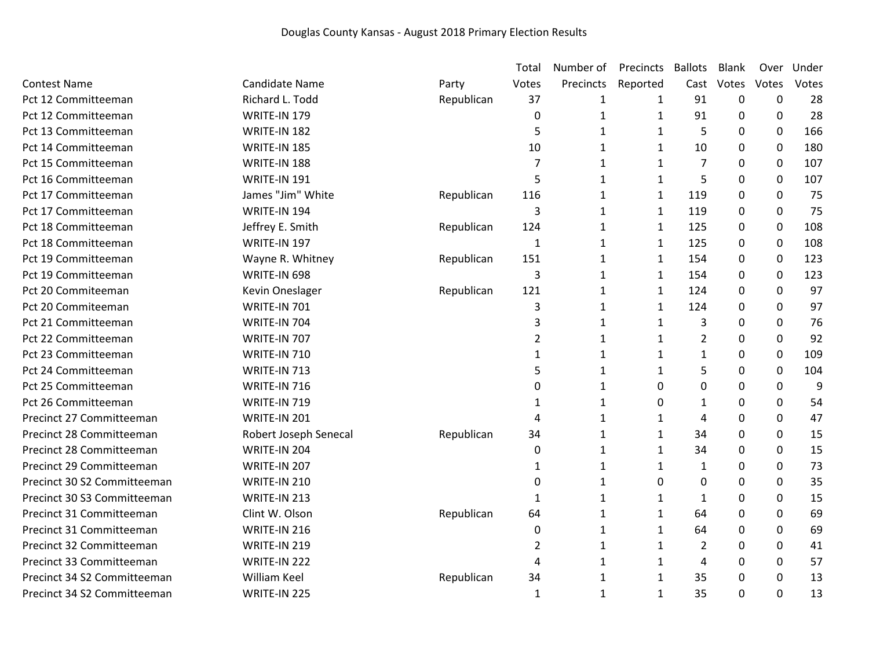|                             |                       |            | Total          | Number of    | Precincts    | <b>Ballots</b> | <b>Blank</b> | Over             | Under |
|-----------------------------|-----------------------|------------|----------------|--------------|--------------|----------------|--------------|------------------|-------|
| <b>Contest Name</b>         | <b>Candidate Name</b> | Party      | Votes          | Precincts    | Reported     | Cast           | Votes        | Votes            | Votes |
| Pct 12 Committeeman         | Richard L. Todd       | Republican | 37             | $\mathbf 1$  | 1            | 91             | 0            | $\mathbf 0$      | 28    |
| Pct 12 Committeeman         | WRITE-IN 179          |            | 0              | $\mathbf{1}$ | 1            | 91             | 0            | $\boldsymbol{0}$ | 28    |
| Pct 13 Committeeman         | WRITE-IN 182          |            | 5              | 1            | 1            | 5              | 0            | 0                | 166   |
| Pct 14 Committeeman         | WRITE-IN 185          |            | 10             | $\mathbf{1}$ | $\mathbf{1}$ | 10             | 0            | 0                | 180   |
| Pct 15 Committeeman         | WRITE-IN 188          |            | 7              | $\mathbf{1}$ | $\mathbf{1}$ | $\overline{7}$ | 0            | $\mathbf 0$      | 107   |
| Pct 16 Committeeman         | WRITE-IN 191          |            | 5              | $\mathbf{1}$ | $\mathbf{1}$ | 5              | 0            | $\boldsymbol{0}$ | 107   |
| Pct 17 Committeeman         | James "Jim" White     | Republican | 116            | $\mathbf{1}$ | $\mathbf{1}$ | 119            | 0            | $\boldsymbol{0}$ | 75    |
| Pct 17 Committeeman         | WRITE-IN 194          |            | 3              | 1            | 1            | 119            | 0            | 0                | 75    |
| Pct 18 Committeeman         | Jeffrey E. Smith      | Republican | 124            | $\mathbf{1}$ | 1            | 125            | 0            | $\mathbf 0$      | 108   |
| Pct 18 Committeeman         | WRITE-IN 197          |            | $\mathbf{1}$   | $\mathbf{1}$ | 1            | 125            | $\Omega$     | $\mathbf 0$      | 108   |
| Pct 19 Committeeman         | Wayne R. Whitney      | Republican | 151            | $\mathbf{1}$ | 1            | 154            | 0            | $\boldsymbol{0}$ | 123   |
| Pct 19 Committeeman         | WRITE-IN 698          |            | 3              | $\mathbf{1}$ | $\mathbf{1}$ | 154            | 0            | $\mathbf 0$      | 123   |
| Pct 20 Commiteeman          | Kevin Oneslager       | Republican | 121            | 1            | 1            | 124            | 0            | 0                | 97    |
| Pct 20 Commiteeman          | <b>WRITE-IN 701</b>   |            | 3              | $\mathbf{1}$ | $\mathbf{1}$ | 124            | 0            | $\mathbf 0$      | 97    |
| Pct 21 Committeeman         | WRITE-IN 704          |            | 3              | 1            | 1            | 3              | 0            | 0                | 76    |
| Pct 22 Committeeman         | WRITE-IN 707          |            | $\overline{2}$ | $\mathbf{1}$ | 1            | $\overline{2}$ | 0            | 0                | 92    |
| Pct 23 Committeeman         | WRITE-IN 710          |            | 1              | $\mathbf{1}$ | $\mathbf{1}$ | $\mathbf{1}$   | 0            | $\mathbf 0$      | 109   |
| Pct 24 Committeeman         | WRITE-IN 713          |            | 5              | 1            | 1            | 5              | 0            | $\mathbf 0$      | 104   |
| Pct 25 Committeeman         | WRITE-IN 716          |            | 0              | $\mathbf{1}$ | 0            | 0              | 0            | 0                | 9     |
| Pct 26 Committeeman         | WRITE-IN 719          |            | 1              | 1            | 0            | 1              | 0            | 0                | 54    |
| Precinct 27 Committeeman    | WRITE-IN 201          |            | 4              | $\mathbf{1}$ | 1            | 4              | 0            | 0                | 47    |
| Precinct 28 Committeeman    | Robert Joseph Senecal | Republican | 34             | $\mathbf{1}$ | 1            | 34             | 0            | 0                | 15    |
| Precinct 28 Committeeman    | WRITE-IN 204          |            | $\mathbf 0$    | $\mathbf{1}$ | $\mathbf{1}$ | 34             | 0            | 0                | 15    |
| Precinct 29 Committeeman    | WRITE-IN 207          |            | 1              | $\mathbf{1}$ | $\mathbf{1}$ | $\mathbf{1}$   | 0            | 0                | 73    |
| Precinct 30 S2 Committeeman | WRITE-IN 210          |            | 0              | 1            | $\Omega$     | 0              | 0            | 0                | 35    |
| Precinct 30 S3 Committeeman | WRITE-IN 213          |            | 1              | $\mathbf{1}$ | $\mathbf{1}$ | 1              | 0            | 0                | 15    |
| Precinct 31 Committeeman    | Clint W. Olson        | Republican | 64             | $\mathbf{1}$ | $\mathbf{1}$ | 64             | 0            | $\mathbf 0$      | 69    |
| Precinct 31 Committeeman    | WRITE-IN 216          |            | $\mathbf 0$    | $\mathbf{1}$ | $\mathbf{1}$ | 64             | 0            | 0                | 69    |
| Precinct 32 Committeeman    | WRITE-IN 219          |            | 2              | $\mathbf{1}$ | $\mathbf{1}$ | 2              | 0            | 0                | 41    |
| Precinct 33 Committeeman    | WRITE-IN 222          |            | 4              | 1            | 1            | 4              | 0            | 0                | 57    |
| Precinct 34 S2 Committeeman | <b>William Keel</b>   | Republican | 34             | 1            | 1            | 35             | 0            | 0                | 13    |
| Precinct 34 S2 Committeeman | WRITE-IN 225          |            | 1              | 1            | 1            | 35             | 0            | 0                | 13    |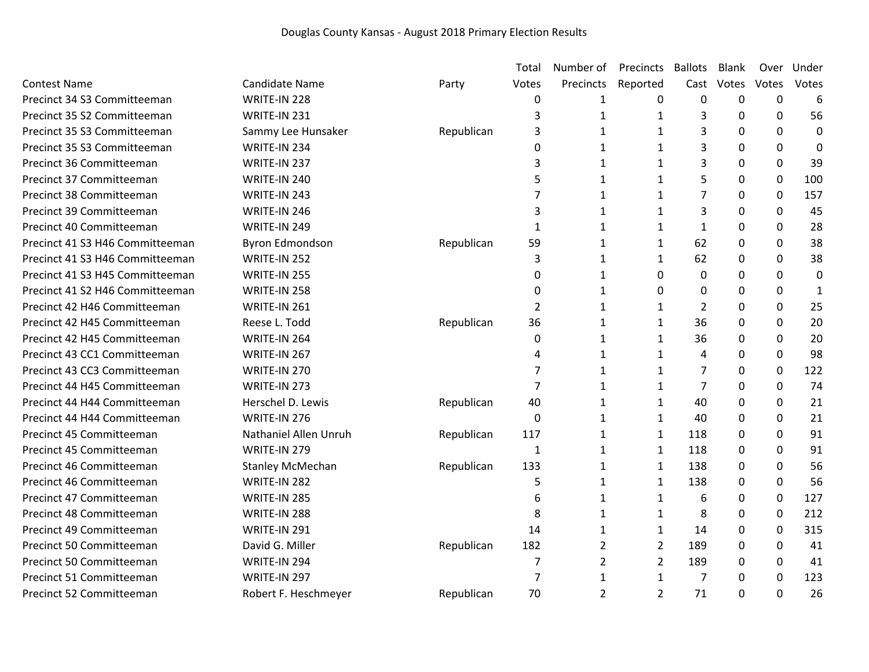|                                 |                         |            | Total          | Number of | Precincts      | <b>Ballots</b> | Blank    | Over        | Under |
|---------------------------------|-------------------------|------------|----------------|-----------|----------------|----------------|----------|-------------|-------|
| <b>Contest Name</b>             | <b>Candidate Name</b>   | Party      | Votes          | Precincts | Reported       | Cast           | Votes    | Votes       | Votes |
| Precinct 34 S3 Committeeman     | WRITE-IN 228            |            | 0              | 1         | 0              | 0              | 0        | 0           | 6     |
| Precinct 35 S2 Committeeman     | WRITE-IN 231            |            | 3              | 1         | 1              | 3              | 0        | 0           | 56    |
| Precinct 35 S3 Committeeman     | Sammy Lee Hunsaker      | Republican | 3              | 1         | 1              | 3              | 0        | $\mathbf 0$ | 0     |
| Precinct 35 S3 Committeeman     | WRITE-IN 234            |            | 0              | 1         | $\mathbf{1}$   | 3              | 0        | $\mathbf 0$ | 0     |
| Precinct 36 Committeeman        | WRITE-IN 237            |            | 3              | 1         | $\mathbf{1}$   | 3              | 0        | $\mathbf 0$ | 39    |
| Precinct 37 Committeeman        | WRITE-IN 240            |            | 5              | 1         | $\mathbf{1}$   | 5              | 0        | 0           | 100   |
| Precinct 38 Committeeman        | WRITE-IN 243            |            | $\overline{7}$ | 1         | $\mathbf{1}$   | 7              | 0        | 0           | 157   |
| Precinct 39 Committeeman        | WRITE-IN 246            |            | 3              | 1         | $\mathbf{1}$   | 3              | 0        | $\mathbf 0$ | 45    |
| Precinct 40 Committeeman        | WRITE-IN 249            |            | 1              | 1         | $\mathbf{1}$   | $\mathbf{1}$   | $\Omega$ | 0           | 28    |
| Precinct 41 S3 H46 Committeeman | <b>Byron Edmondson</b>  | Republican | 59             | 1         | $\mathbf{1}$   | 62             | $\Omega$ | $\mathbf 0$ | 38    |
| Precinct 41 S3 H46 Committeeman | WRITE-IN 252            |            | 3              | 1         | $\mathbf{1}$   | 62             | $\Omega$ | $\mathbf 0$ | 38    |
| Precinct 41 S3 H45 Committeeman | WRITE-IN 255            |            | 0              | 1         | 0              | $\Omega$       | 0        | $\mathbf 0$ | 0     |
| Precinct 41 S2 H46 Committeeman | WRITE-IN 258            |            | 0              | 1         | 0              | 0              | 0        | 0           | 1     |
| Precinct 42 H46 Committeeman    | WRITE-IN 261            |            | $\overline{2}$ | 1         | $\mathbf{1}$   | 2              | 0        | 0           | 25    |
| Precinct 42 H45 Committeeman    | Reese L. Todd           | Republican | 36             | 1         | $\mathbf{1}$   | 36             | 0        | $\mathbf 0$ | 20    |
| Precinct 42 H45 Committeeman    | WRITE-IN 264            |            | 0              | 1         | $\mathbf{1}$   | 36             | 0        | $\mathbf 0$ | 20    |
| Precinct 43 CC1 Committeeman    | WRITE-IN 267            |            | 4              | 1         | $\mathbf{1}$   | 4              | 0        | 0           | 98    |
| Precinct 43 CC3 Committeeman    | WRITE-IN 270            |            | 7              | 1         | $\mathbf{1}$   | 7              | 0        | 0           | 122   |
| Precinct 44 H45 Committeeman    | WRITE-IN 273            |            | 7              | 1         | $\mathbf{1}$   | 7              | 0        | $\mathbf 0$ | 74    |
| Precinct 44 H44 Committeeman    | Herschel D. Lewis       | Republican | 40             | 1         | $\mathbf{1}$   | 40             | 0        | 0           | 21    |
| Precinct 44 H44 Committeeman    | WRITE-IN 276            |            | $\Omega$       | 1         | $\mathbf{1}$   | 40             | 0        | $\Omega$    | 21    |
| Precinct 45 Committeeman        | Nathaniel Allen Unruh   | Republican | 117            | 1         | $\mathbf{1}$   | 118            | $\Omega$ | 0           | 91    |
| Precinct 45 Committeeman        | WRITE-IN 279            |            | 1              | 1         | $\mathbf{1}$   | 118            | 0        | $\mathbf 0$ | 91    |
| Precinct 46 Committeeman        | <b>Stanley McMechan</b> | Republican | 133            | 1         | $\mathbf{1}$   | 138            | 0        | 0           | 56    |
| Precinct 46 Committeeman        | WRITE-IN 282            |            | 5              | 1         | $\mathbf{1}$   | 138            | 0        | 0           | 56    |
| Precinct 47 Committeeman        | WRITE-IN 285            |            | 6              | 1         | 1              | 6              | 0        | 0           | 127   |
| Precinct 48 Committeeman        | WRITE-IN 288            |            | 8              | 1         | 1              | 8              | 0        | $\mathbf 0$ | 212   |
| Precinct 49 Committeeman        | WRITE-IN 291            |            | 14             | 1         | $\mathbf{1}$   | 14             | 0        | 0           | 315   |
| Precinct 50 Committeeman        | David G. Miller         | Republican | 182            | 2         | $\overline{2}$ | 189            | 0        | $\mathbf 0$ | 41    |
| Precinct 50 Committeeman        | WRITE-IN 294            |            | 7              | 2         | $\overline{2}$ | 189            | 0        | $\mathbf 0$ | 41    |
| Precinct 51 Committeeman        | WRITE-IN 297            |            | 7              | 1         | $\mathbf{1}$   | 7              | 0        | 0           | 123   |
| Precinct 52 Committeeman        | Robert F. Heschmeyer    | Republican | 70             | 2         | $\overline{2}$ | 71             | 0        | $\Omega$    | 26    |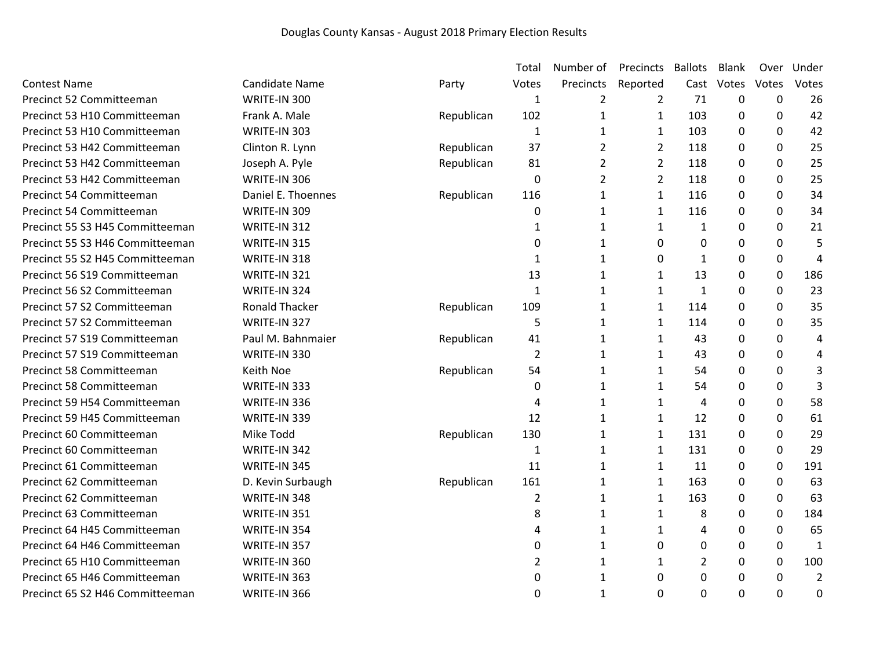|                                 |                       |            | Total          | Number of      | Precincts      | <b>Ballots</b> | Blank    | Over         | Under          |
|---------------------------------|-----------------------|------------|----------------|----------------|----------------|----------------|----------|--------------|----------------|
| <b>Contest Name</b>             | <b>Candidate Name</b> | Party      | Votes          | Precincts      | Reported       | Cast           | Votes    | Votes        | Votes          |
| Precinct 52 Committeeman        | WRITE-IN 300          |            | 1              | 2              | 2              | 71             | 0        | 0            | 26             |
| Precinct 53 H10 Committeeman    | Frank A. Male         | Republican | 102            | $\mathbf{1}$   | $\mathbf{1}$   | 103            | 0        | $\mathbf 0$  | 42             |
| Precinct 53 H10 Committeeman    | WRITE-IN 303          |            | 1              | 1              | $\mathbf{1}$   | 103            | 0        | 0            | 42             |
| Precinct 53 H42 Committeeman    | Clinton R. Lynn       | Republican | 37             | $\overline{2}$ | 2              | 118            | 0        | 0            | 25             |
| Precinct 53 H42 Committeeman    | Joseph A. Pyle        | Republican | 81             | $\overline{2}$ | $\overline{2}$ | 118            | 0        | 0            | 25             |
| Precinct 53 H42 Committeeman    | WRITE-IN 306          |            | 0              | $\overline{2}$ | $\overline{2}$ | 118            | 0        | $\mathbf 0$  | 25             |
| Precinct 54 Committeeman        | Daniel E. Thoennes    | Republican | 116            | 1              | $\mathbf{1}$   | 116            | 0        | 0            | 34             |
| Precinct 54 Committeeman        | WRITE-IN 309          |            | 0              | 1              | $\mathbf{1}$   | 116            | 0        | 0            | 34             |
| Precinct 55 S3 H45 Committeeman | WRITE-IN 312          |            | 1              | $\mathbf{1}$   | $\mathbf{1}$   | $\mathbf{1}$   | 0        | 0            | 21             |
| Precinct 55 S3 H46 Committeeman | WRITE-IN 315          |            | 0              | 1              | $\Omega$       | 0              | 0        | 0            | 5              |
| Precinct 55 S2 H45 Committeeman | WRITE-IN 318          |            | 1              | 1              | 0              | $\mathbf{1}$   | 0        | $\mathbf 0$  | 4              |
| Precinct 56 S19 Committeeman    | WRITE-IN 321          |            | 13             | 1              | $\mathbf{1}$   | 13             | 0        | 0            | 186            |
| Precinct 56 S2 Committeeman     | WRITE-IN 324          |            | $\mathbf{1}$   | $\mathbf{1}$   | $\mathbf{1}$   | $\mathbf{1}$   | 0        | $\mathbf 0$  | 23             |
| Precinct 57 S2 Committeeman     | <b>Ronald Thacker</b> | Republican | 109            | 1              | $\mathbf{1}$   | 114            | 0        | 0            | 35             |
| Precinct 57 S2 Committeeman     | WRITE-IN 327          |            | 5              | 1              | $\mathbf{1}$   | 114            | 0        | $\mathbf 0$  | 35             |
| Precinct 57 S19 Committeeman    | Paul M. Bahnmaier     | Republican | 41             | 1              | $\mathbf{1}$   | 43             | 0        | 0            | 4              |
| Precinct 57 S19 Committeeman    | WRITE-IN 330          |            | $\overline{2}$ | 1              | $\mathbf{1}$   | 43             | 0        | $\mathbf 0$  | 4              |
| Precinct 58 Committeeman        | Keith Noe             | Republican | 54             | 1              | $\mathbf{1}$   | 54             | 0        | $\mathbf 0$  | 3              |
| Precinct 58 Committeeman        | WRITE-IN 333          |            | 0              | 1              | $\mathbf{1}$   | 54             | 0        | 0            | 3              |
| Precinct 59 H54 Committeeman    | WRITE-IN 336          |            | 4              | 1              | $\mathbf{1}$   | 4              | 0        | 0            | 58             |
| Precinct 59 H45 Committeeman    | WRITE-IN 339          |            | 12             | 1              | $\mathbf{1}$   | 12             | 0        | $\mathbf{0}$ | 61             |
| Precinct 60 Committeeman        | Mike Todd             | Republican | 130            | $\mathbf{1}$   | $\mathbf{1}$   | 131            | 0        | 0            | 29             |
| Precinct 60 Committeeman        | WRITE-IN 342          |            | $\mathbf{1}$   | $\mathbf{1}$   | $\mathbf{1}$   | 131            | 0        | 0            | 29             |
| Precinct 61 Committeeman        | WRITE-IN 345          |            | 11             | 1              | $\mathbf{1}$   | 11             | 0        | $\mathbf 0$  | 191            |
| Precinct 62 Committeeman        | D. Kevin Surbaugh     | Republican | 161            | 1              | $\mathbf{1}$   | 163            | 0        | 0            | 63             |
| Precinct 62 Committeeman        | WRITE-IN 348          |            | $\overline{2}$ | 1              | $\mathbf{1}$   | 163            | $\Omega$ | 0            | 63             |
| Precinct 63 Committeeman        | WRITE-IN 351          |            | 8              | 1              | $\mathbf{1}$   | 8              | 0        | $\mathbf 0$  | 184            |
| Precinct 64 H45 Committeeman    | WRITE-IN 354          |            | 4              | 1              | $\mathbf{1}$   | 4              | 0        | $\mathbf 0$  | 65             |
| Precinct 64 H46 Committeeman    | WRITE-IN 357          |            | 0              | 1              | $\Omega$       | 0              | $\Omega$ | 0            | $\mathbf{1}$   |
| Precinct 65 H10 Committeeman    | WRITE-IN 360          |            | 2              | 1              | 1              | 2              | 0        | $\mathbf 0$  | 100            |
| Precinct 65 H46 Committeeman    | WRITE-IN 363          |            | 0              | 1              | 0              | 0              | 0        | $\mathbf 0$  | $\overline{2}$ |
| Precinct 65 S2 H46 Committeeman | WRITE-IN 366          |            | 0              | 1              | 0              | 0              | 0        | $\mathbf 0$  | 0              |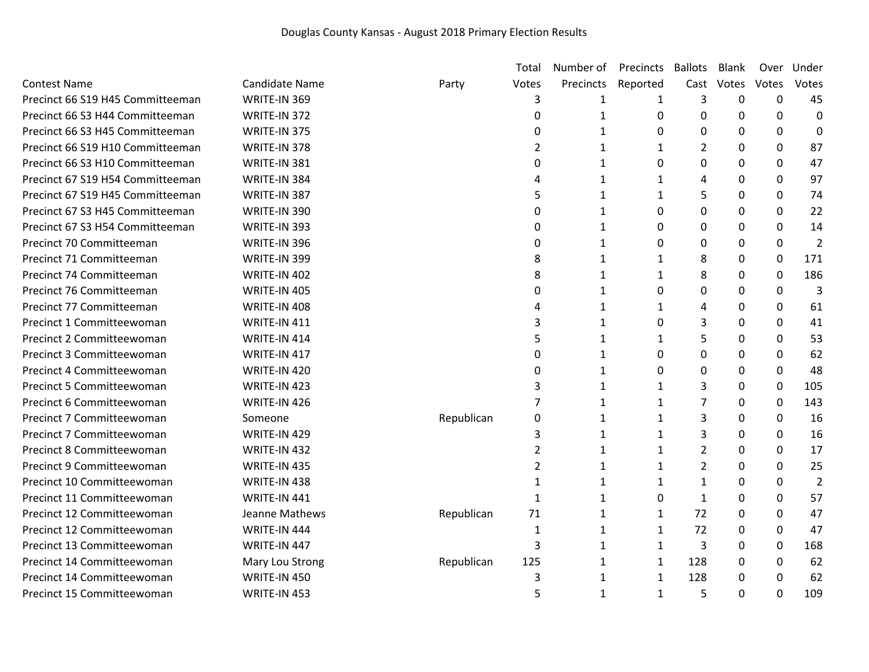|                                  |                       |            | Total          | Number of    | Precincts    | <b>Ballots</b> | Blank    | Over  | Under          |
|----------------------------------|-----------------------|------------|----------------|--------------|--------------|----------------|----------|-------|----------------|
| <b>Contest Name</b>              | <b>Candidate Name</b> | Party      | Votes          | Precincts    | Reported     | Cast           | Votes    | Votes | Votes          |
| Precinct 66 S19 H45 Committeeman | WRITE-IN 369          |            | 3              | 1            | 1            | 3              | 0        | 0     | 45             |
| Precinct 66 S3 H44 Committeeman  | WRITE-IN 372          |            | 0              | $\mathbf{1}$ | 0            | 0              | 0        | 0     | $\mathbf 0$    |
| Precinct 66 S3 H45 Committeeman  | WRITE-IN 375          |            | $\Omega$       | $\mathbf{1}$ | 0            | 0              | 0        | 0     | 0              |
| Precinct 66 S19 H10 Committeeman | WRITE-IN 378          |            | 2              | 1            | 1            | $\overline{2}$ | 0        | 0     | 87             |
| Precinct 66 S3 H10 Committeeman  | WRITE-IN 381          |            | $\Omega$       | 1            | 0            | 0              | 0        | 0     | 47             |
| Precinct 67 S19 H54 Committeeman | WRITE-IN 384          |            | 4              | 1            | 1            | 4              | 0        | 0     | 97             |
| Precinct 67 S19 H45 Committeeman | WRITE-IN 387          |            | 5              | 1            | 1            | 5              | 0        | 0     | 74             |
| Precinct 67 S3 H45 Committeeman  | WRITE-IN 390          |            | 0              | $\mathbf{1}$ | 0            | 0              | 0        | 0     | 22             |
| Precinct 67 S3 H54 Committeeman  | WRITE-IN 393          |            | 0              | 1            | 0            | 0              | 0        | 0     | 14             |
| Precinct 70 Committeeman         | WRITE-IN 396          |            | 0              | 1            | 0            | 0              | 0        | 0     | $\overline{2}$ |
| Precinct 71 Committeeman         | WRITE-IN 399          |            | 8              | 1            | 1            | 8              | 0        | 0     | 171            |
| Precinct 74 Committeeman         | WRITE-IN 402          |            | 8              | 1            | 1            | 8              | $\Omega$ | 0     | 186            |
| Precinct 76 Committeeman         | WRITE-IN 405          |            | 0              | 1            | 0            | 0              | 0        | 0     | 3              |
| Precinct 77 Committeeman         | WRITE-IN 408          |            | 4              | 1            | $\mathbf{1}$ | 4              | 0        | 0     | 61             |
| Precinct 1 Committeewoman        | WRITE-IN 411          |            | 3              | 1            | 0            | 3              | 0        | 0     | 41             |
| Precinct 2 Committeewoman        | WRITE-IN 414          |            | 5              | $\mathbf{1}$ | 1            | 5              | 0        | 0     | 53             |
| Precinct 3 Committeewoman        | WRITE-IN 417          |            | 0              | 1            | 0            | 0              | 0        | 0     | 62             |
| Precinct 4 Committeewoman        | WRITE-IN 420          |            | $\Omega$       | 1            | 0            | 0              | 0        | 0     | 48             |
| Precinct 5 Committeewoman        | WRITE-IN 423          |            | 3              | 1            | $\mathbf{1}$ | 3              | 0        | 0     | 105            |
| Precinct 6 Committeewoman        | WRITE-IN 426          |            | 7              | 1            | 1            | 7              | 0        | 0     | 143            |
| Precinct 7 Committeewoman        | Someone               | Republican | 0              | 1            | 1            | 3              | 0        | 0     | 16             |
| Precinct 7 Committeewoman        | WRITE-IN 429          |            | 3              | 1            | 1            | 3              | 0        | 0     | 16             |
| Precinct 8 Committeewoman        | WRITE-IN 432          |            | $\overline{2}$ | $\mathbf{1}$ | $\mathbf{1}$ | $\overline{2}$ | $\Omega$ | 0     | 17             |
| Precinct 9 Committeewoman        | WRITE-IN 435          |            | $\overline{2}$ | 1            | $\mathbf{1}$ | $\overline{2}$ | 0        | 0     | 25             |
| Precinct 10 Committeewoman       | WRITE-IN 438          |            | $\mathbf{1}$   | 1            | 1            | 1              | 0        | 0     | 2              |
| Precinct 11 Committeewoman       | WRITE-IN 441          |            | 1              | 1            | 0            | $\mathbf{1}$   | 0        | 0     | 57             |
| Precinct 12 Committeewoman       | Jeanne Mathews        | Republican | 71             | 1            | 1            | 72             | 0        | 0     | 47             |
| Precinct 12 Committeewoman       | WRITE-IN 444          |            | 1              | 1            | $\mathbf{1}$ | 72             | 0        | 0     | 47             |
| Precinct 13 Committeewoman       | WRITE-IN 447          |            | 3              | 1            | $\mathbf{1}$ | 3              | 0        | 0     | 168            |
| Precinct 14 Committeewoman       | Mary Lou Strong       | Republican | 125            | 1            | 1            | 128            | 0        | 0     | 62             |
| Precinct 14 Committeewoman       | WRITE-IN 450          |            | 3              | $\mathbf{1}$ | $\mathbf{1}$ | 128            | 0        | 0     | 62             |
| Precinct 15 Committeewoman       | WRITE-IN 453          |            | 5              | 1            | $\mathbf{1}$ | 5              | $\Omega$ | 0     | 109            |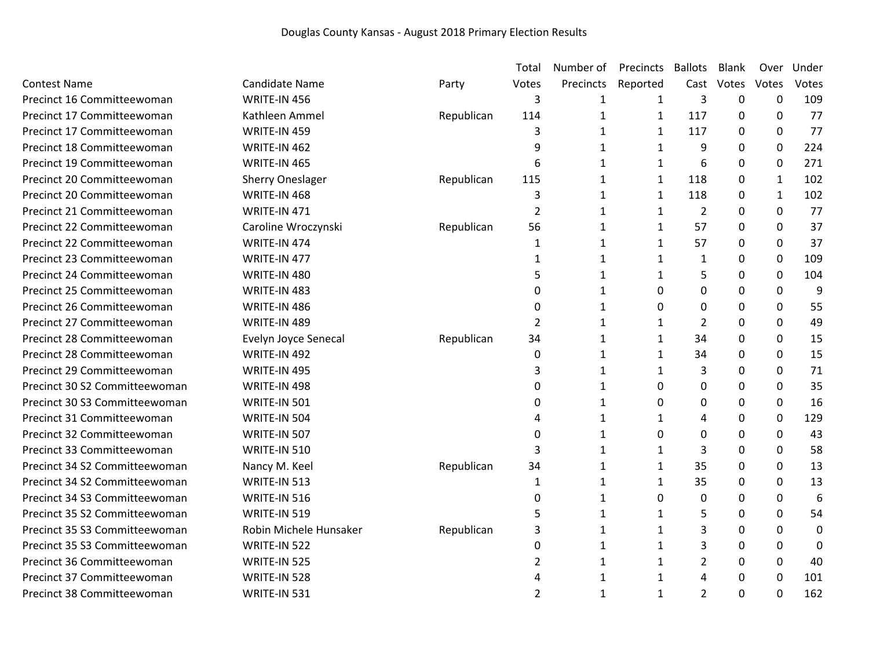|                               |                         |            | Total          | Number of | Precincts    | <b>Ballots</b> | Blank | Over         | Under       |
|-------------------------------|-------------------------|------------|----------------|-----------|--------------|----------------|-------|--------------|-------------|
| <b>Contest Name</b>           | <b>Candidate Name</b>   | Party      | Votes          | Precincts | Reported     | Cast           | Votes | Votes        | Votes       |
| Precinct 16 Committeewoman    | WRITE-IN 456            |            | 3              | 1         | 1            | 3              | 0     | 0            | 109         |
| Precinct 17 Committeewoman    | Kathleen Ammel          | Republican | 114            | 1         | $\mathbf{1}$ | 117            | 0     | 0            | 77          |
| Precinct 17 Committeewoman    | WRITE-IN 459            |            | 3              | 1         | 1            | 117            | 0     | 0            | 77          |
| Precinct 18 Committeewoman    | WRITE-IN 462            |            | 9              | 1         | $\mathbf{1}$ | 9              | 0     | 0            | 224         |
| Precinct 19 Committeewoman    | WRITE-IN 465            |            | 6              | 1         | 1            | 6              | 0     | 0            | 271         |
| Precinct 20 Committeewoman    | <b>Sherry Oneslager</b> | Republican | 115            | 1         | $\mathbf{1}$ | 118            | 0     | $\mathbf{1}$ | 102         |
| Precinct 20 Committeewoman    | WRITE-IN 468            |            | 3              | 1         | $\mathbf{1}$ | 118            | 0     | $\mathbf{1}$ | 102         |
| Precinct 21 Committeewoman    | WRITE-IN 471            |            | $\overline{2}$ | 1         | $\mathbf{1}$ | $\overline{2}$ | 0     | 0            | 77          |
| Precinct 22 Committeewoman    | Caroline Wroczynski     | Republican | 56             | 1         | $\mathbf{1}$ | 57             | 0     | 0            | 37          |
| Precinct 22 Committeewoman    | WRITE-IN 474            |            | 1              | 1         | 1            | 57             | 0     | 0            | 37          |
| Precinct 23 Committeewoman    | WRITE-IN 477            |            | 1              | 1         | $\mathbf{1}$ | 1              | 0     | 0            | 109         |
| Precinct 24 Committeewoman    | WRITE-IN 480            |            | 5              | 1         | 1            | 5              | 0     | 0            | 104         |
| Precinct 25 Committeewoman    | WRITE-IN 483            |            | 0              | 1         | 0            | 0              | 0     | 0            | 9           |
| Precinct 26 Committeewoman    | WRITE-IN 486            |            | 0              | 1         | 0            | 0              | 0     | 0            | 55          |
| Precinct 27 Committeewoman    | WRITE-IN 489            |            | 2              | 1         | 1            | 2              | 0     | 0            | 49          |
| Precinct 28 Committeewoman    | Evelyn Joyce Senecal    | Republican | 34             | 1         | 1            | 34             | 0     | 0            | 15          |
| Precinct 28 Committeewoman    | WRITE-IN 492            |            | 0              | 1         | 1            | 34             | 0     | 0            | 15          |
| Precinct 29 Committeewoman    | WRITE-IN 495            |            | 3              | 1         | $\mathbf{1}$ | 3              | 0     | 0            | 71          |
| Precinct 30 S2 Committeewoman | WRITE-IN 498            |            | 0              | 1         | 0            | 0              | 0     | 0            | 35          |
| Precinct 30 S3 Committeewoman | WRITE-IN 501            |            | 0              | 1         | 0            | 0              | 0     | 0            | 16          |
| Precinct 31 Committeewoman    | WRITE-IN 504            |            | 4              | 1         | 1            | 4              | 0     | 0            | 129         |
| Precinct 32 Committeewoman    | WRITE-IN 507            |            | $\mathbf 0$    | 1         | 0            | 0              | 0     | 0            | 43          |
| Precinct 33 Committeewoman    | WRITE-IN 510            |            | 3              | 1         | 1            | 3              | 0     | 0            | 58          |
| Precinct 34 S2 Committeewoman | Nancy M. Keel           | Republican | 34             | 1         | 1            | 35             | 0     | 0            | 13          |
| Precinct 34 S2 Committeewoman | WRITE-IN 513            |            | 1              | 1         | 1            | 35             | 0     | 0            | 13          |
| Precinct 34 S3 Committeewoman | WRITE-IN 516            |            | 0              | 1         | 0            | 0              | 0     | 0            | 6           |
| Precinct 35 S2 Committeewoman | WRITE-IN 519            |            | 5              | 1         | 1            | 5              | 0     | 0            | 54          |
| Precinct 35 S3 Committeewoman | Robin Michele Hunsaker  | Republican | 3              | 1         | 1            | 3              | 0     | 0            | $\mathbf 0$ |
| Precinct 35 S3 Committeewoman | WRITE-IN 522            |            | 0              | 1         | $\mathbf{1}$ | 3              | 0     | 0            | $\Omega$    |
| Precinct 36 Committeewoman    | WRITE-IN 525            |            | 2              | 1         | 1            | 2              | 0     | 0            | 40          |
| Precinct 37 Committeewoman    | WRITE-IN 528            |            | 4              | 1         | 1            | 4              | 0     | 0            | 101         |
| Precinct 38 Committeewoman    | WRITE-IN 531            |            | 2              | 1         | $\mathbf{1}$ | 2              | 0     | 0            | 162         |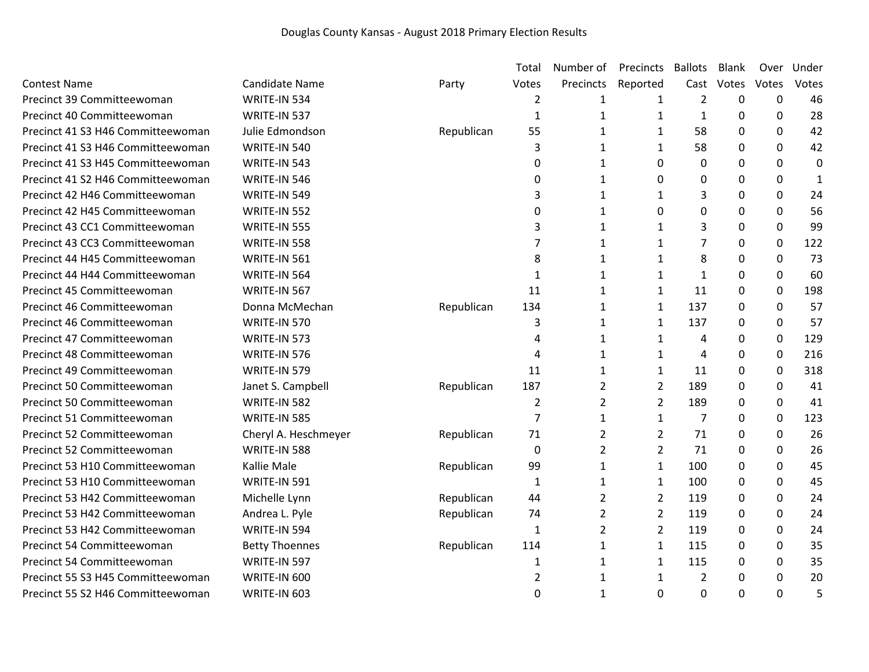|                                   |                       |            | Total          | Number of      | Precincts      | <b>Ballots</b> | <b>Blank</b> | Over        | Under        |
|-----------------------------------|-----------------------|------------|----------------|----------------|----------------|----------------|--------------|-------------|--------------|
| <b>Contest Name</b>               | <b>Candidate Name</b> | Party      | Votes          | Precincts      | Reported       | Cast           | Votes        | Votes       | Votes        |
| Precinct 39 Committeewoman        | WRITE-IN 534          |            | $\overline{2}$ | 1              | 1              | $\overline{2}$ | $\Omega$     | $\mathbf 0$ | 46           |
| Precinct 40 Committeewoman        | WRITE-IN 537          |            | $\mathbf{1}$   | $\mathbf{1}$   | 1              | 1              | 0            | 0           | 28           |
| Precinct 41 S3 H46 Committeewoman | Julie Edmondson       | Republican | 55             | 1              | 1              | 58             | 0            | 0           | 42           |
| Precinct 41 S3 H46 Committeewoman | WRITE-IN 540          |            | 3              | 1              | $\mathbf{1}$   | 58             | 0            | 0           | 42           |
| Precinct 41 S3 H45 Committeewoman | WRITE-IN 543          |            | 0              | 1              | 0              | $\pmb{0}$      | 0            | 0           | $\mathbf 0$  |
| Precinct 41 S2 H46 Committeewoman | WRITE-IN 546          |            | 0              | 1              | 0              | $\Omega$       | $\mathbf{0}$ | $\Omega$    | $\mathbf{1}$ |
| Precinct 42 H46 Committeewoman    | WRITE-IN 549          |            | 3              | 1              | 1              | 3              | 0            | 0           | 24           |
| Precinct 42 H45 Committeewoman    | WRITE-IN 552          |            | 0              | 1              | 0              | 0              | 0            | 0           | 56           |
| Precinct 43 CC1 Committeewoman    | WRITE-IN 555          |            | 3              | 1              | 1              | 3              | 0            | 0           | 99           |
| Precinct 43 CC3 Committeewoman    | WRITE-IN 558          |            | 7              | 1              | 1              | 7              | 0            | 0           | 122          |
| Precinct 44 H45 Committeewoman    | WRITE-IN 561          |            | 8              | 1              | $\mathbf{1}$   | 8              | $\mathbf{0}$ | 0           | 73           |
| Precinct 44 H44 Committeewoman    | WRITE-IN 564          |            | 1              | 1              | 1              | 1              | $\mathbf{0}$ | 0           | 60           |
| Precinct 45 Committeewoman        | WRITE-IN 567          |            | 11             | 1              | $\mathbf{1}$   | 11             | 0            | 0           | 198          |
| Precinct 46 Committeewoman        | Donna McMechan        | Republican | 134            | $\mathbf{1}$   | 1              | 137            | 0            | $\pmb{0}$   | 57           |
| Precinct 46 Committeewoman        | WRITE-IN 570          |            | 3              | 1              | 1              | 137            | $\mathbf{0}$ | 0           | 57           |
| Precinct 47 Committeewoman        | WRITE-IN 573          |            | 4              | 1              | 1              | 4              | 0            | $\pmb{0}$   | 129          |
| Precinct 48 Committeewoman        | WRITE-IN 576          |            | 4              | 1              | 1              | 4              | $\Omega$     | 0           | 216          |
| Precinct 49 Committeewoman        | WRITE-IN 579          |            | 11             | 1              | $\mathbf{1}$   | 11             | 0            | 0           | 318          |
| Precinct 50 Committeewoman        | Janet S. Campbell     | Republican | 187            | 2              | $\overline{2}$ | 189            | $\Omega$     | 0           | 41           |
| Precinct 50 Committeewoman        | WRITE-IN 582          |            | $\overline{2}$ | $\overline{2}$ | $\overline{2}$ | 189            | $\mathbf{0}$ | 0           | 41           |
| Precinct 51 Committeewoman        | WRITE-IN 585          |            | $\overline{7}$ | $\mathbf{1}$   | $\mathbf{1}$   | 7              | 0            | 0           | 123          |
| Precinct 52 Committeewoman        | Cheryl A. Heschmeyer  | Republican | 71             | 2              | $\overline{2}$ | 71             | $\Omega$     | 0           | 26           |
| Precinct 52 Committeewoman        | WRITE-IN 588          |            | 0              | 2              | $\overline{2}$ | 71             | 0            | 0           | 26           |
| Precinct 53 H10 Committeewoman    | Kallie Male           | Republican | 99             | 1              | $\mathbf{1}$   | 100            | 0            | 0           | 45           |
| Precinct 53 H10 Committeewoman    | WRITE-IN 591          |            | $\mathbf{1}$   | 1              | $\mathbf{1}$   | 100            | $\mathbf{0}$ | 0           | 45           |
| Precinct 53 H42 Committeewoman    | Michelle Lynn         | Republican | 44             | 2              | $\overline{2}$ | 119            | $\mathbf{0}$ | 0           | 24           |
| Precinct 53 H42 Committeewoman    | Andrea L. Pyle        | Republican | 74             | $\overline{2}$ | $\overline{2}$ | 119            | 0            | 0           | 24           |
| Precinct 53 H42 Committeewoman    | WRITE-IN 594          |            | $\mathbf{1}$   | $\overline{2}$ | $\overline{2}$ | 119            | $\Omega$     | 0           | 24           |
| Precinct 54 Committeewoman        | <b>Betty Thoennes</b> | Republican | 114            | 1              | $\mathbf{1}$   | 115            | 0            | 0           | 35           |
| Precinct 54 Committeewoman        | WRITE-IN 597          |            | 1              | 1              | $\mathbf{1}$   | 115            | $\mathbf{0}$ | 0           | 35           |
| Precinct 55 S3 H45 Committeewoman | WRITE-IN 600          |            | 2              | 1              | 1              | 2              | 0            | 0           | 20           |
| Precinct 55 S2 H46 Committeewoman | WRITE-IN 603          |            | 0              | 1              | $\Omega$       | 0              | $\Omega$     | 0           | 5            |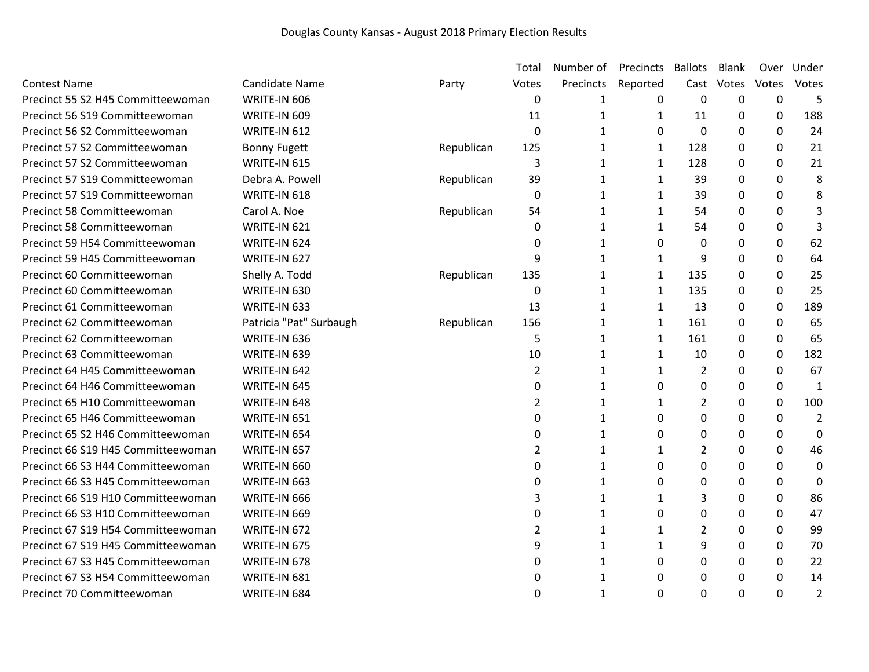|                                    |                         |            | Total          | Number of    | Precincts    | <b>Ballots</b> | Blank    | Over         | Under            |
|------------------------------------|-------------------------|------------|----------------|--------------|--------------|----------------|----------|--------------|------------------|
| <b>Contest Name</b>                | Candidate Name          | Party      | Votes          | Precincts    | Reported     | Cast           | Votes    | Votes        | Votes            |
| Precinct 55 S2 H45 Committeewoman  | WRITE-IN 606            |            | 0              | 1            | 0            | 0              | 0        | $\mathbf 0$  | 5                |
| Precinct 56 S19 Committeewoman     | WRITE-IN 609            |            | 11             | $\mathbf{1}$ | $\mathbf{1}$ | 11             | 0        | 0            | 188              |
| Precinct 56 S2 Committeewoman      | WRITE-IN 612            |            | $\Omega$       | $\mathbf{1}$ | 0            | $\mathbf{0}$   | $\Omega$ | $\mathbf{0}$ | 24               |
| Precinct 57 S2 Committeewoman      | <b>Bonny Fugett</b>     | Republican | 125            | 1            | $\mathbf{1}$ | 128            | 0        | 0            | 21               |
| Precinct 57 S2 Committeewoman      | WRITE-IN 615            |            | 3              | 1            | 1            | 128            | 0        | 0            | 21               |
| Precinct 57 S19 Committeewoman     | Debra A. Powell         | Republican | 39             | 1            | $\mathbf{1}$ | 39             | 0        | $\mathbf 0$  | 8                |
| Precinct 57 S19 Committeewoman     | WRITE-IN 618            |            | 0              | 1            | 1            | 39             | 0        | $\Omega$     | 8                |
| Precinct 58 Committeewoman         | Carol A. Noe            | Republican | 54             | 1            | 1            | 54             | 0        | 0            | 3                |
| Precinct 58 Committeewoman         | WRITE-IN 621            |            | 0              | 1            | 1            | 54             | 0        | 0            | 3                |
| Precinct 59 H54 Committeewoman     | WRITE-IN 624            |            | 0              | 1            | 0            | 0              | 0        | 0            | 62               |
| Precinct 59 H45 Committeewoman     | WRITE-IN 627            |            | 9              | 1            | $\mathbf{1}$ | 9              | $\Omega$ | 0            | 64               |
| Precinct 60 Committeewoman         | Shelly A. Todd          | Republican | 135            | 1            | 1            | 135            | 0        | $\mathbf{0}$ | 25               |
| Precinct 60 Committeewoman         | WRITE-IN 630            |            | 0              | 1            | 1            | 135            | 0        | 0            | 25               |
| Precinct 61 Committeewoman         | WRITE-IN 633            |            | 13             | 1            | $\mathbf{1}$ | 13             | 0        | $\mathbf 0$  | 189              |
| Precinct 62 Committeewoman         | Patricia "Pat" Surbaugh | Republican | 156            | 1            | $\mathbf{1}$ | 161            | 0        | 0            | 65               |
| Precinct 62 Committeewoman         | WRITE-IN 636            |            | 5              | 1            | $\mathbf{1}$ | 161            | 0        | $\mathbf 0$  | 65               |
| Precinct 63 Committeewoman         | WRITE-IN 639            |            | 10             | 1            | $\mathbf{1}$ | 10             | 0        | 0            | 182              |
| Precinct 64 H45 Committeewoman     | WRITE-IN 642            |            | $\overline{2}$ | 1            | $\mathbf{1}$ | $\overline{2}$ | 0        | 0            | 67               |
| Precinct 64 H46 Committeewoman     | WRITE-IN 645            |            | 0              | 1            | 0            | 0              | 0        | $\mathbf 0$  | 1                |
| Precinct 65 H10 Committeewoman     | WRITE-IN 648            |            | 2              | 1            | $\mathbf{1}$ | $\overline{2}$ | 0        | 0            | 100              |
| Precinct 65 H46 Committeewoman     | WRITE-IN 651            |            | $\Omega$       | 1            | 0            | $\Omega$       | $\Omega$ | 0            | $\overline{2}$   |
| Precinct 65 S2 H46 Committeewoman  | WRITE-IN 654            |            | 0              | 1            | 0            | $\Omega$       | 0        | 0            | $\boldsymbol{0}$ |
| Precinct 66 S19 H45 Committeewoman | WRITE-IN 657            |            | 2              | $\mathbf{1}$ | 1            | 2              | 0        | $\Omega$     | 46               |
| Precinct 66 S3 H44 Committeewoman  | WRITE-IN 660            |            | 0              | $\mathbf{1}$ | 0            | 0              | 0        | 0            | $\boldsymbol{0}$ |
| Precinct 66 S3 H45 Committeewoman  | WRITE-IN 663            |            | 0              | 1            | 0            | 0              | 0        | 0            | $\boldsymbol{0}$ |
| Precinct 66 S19 H10 Committeewoman | WRITE-IN 666            |            | 3              | 1            | 1            | 3              | 0        | $\mathbf 0$  | 86               |
| Precinct 66 S3 H10 Committeewoman  | WRITE-IN 669            |            | 0              | 1            | 0            | 0              | 0        | 0            | 47               |
| Precinct 67 S19 H54 Committeewoman | WRITE-IN 672            |            | 2              | $\mathbf{1}$ | 1            | $\overline{2}$ | 0        | $\mathbf{0}$ | 99               |
| Precinct 67 S19 H45 Committeewoman | WRITE-IN 675            |            | 9              | 1            | 1            | 9              | 0        | 0            | 70               |
| Precinct 67 S3 H45 Committeewoman  | WRITE-IN 678            |            | 0              | 1            | 0            | $\Omega$       | 0        | 0            | 22               |
| Precinct 67 S3 H54 Committeewoman  | WRITE-IN 681            |            | 0              | 1            | 0            | $\Omega$       | $\Omega$ | $\mathbf 0$  | 14               |
| Precinct 70 Committeewoman         | WRITE-IN 684            |            | 0              | 1            | $\Omega$     | $\Omega$       | 0        | $\Omega$     | 2                |